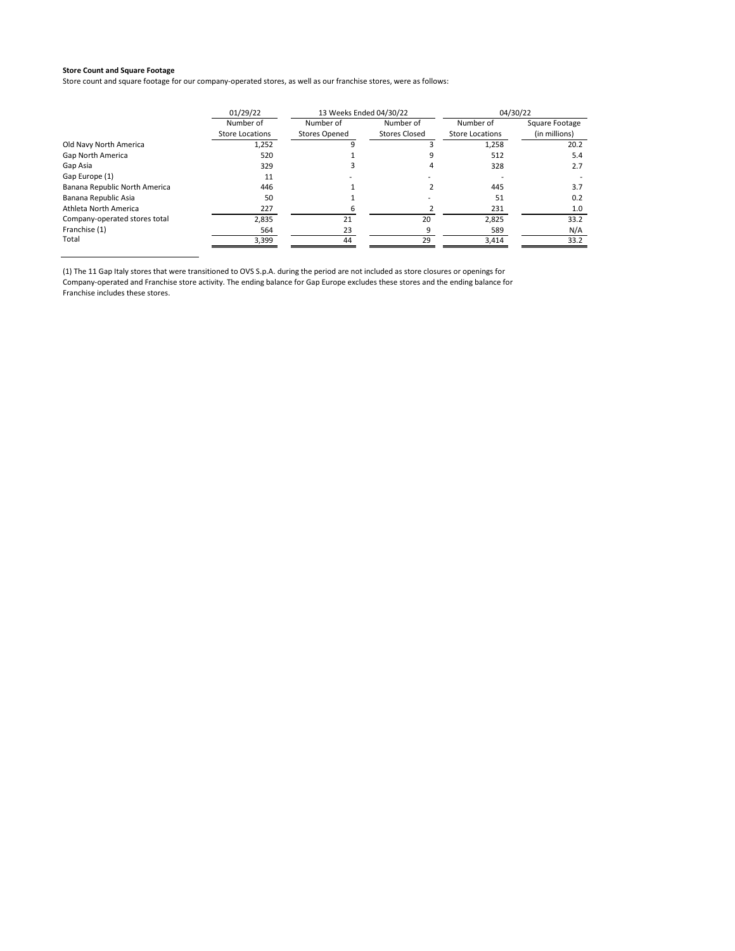Store count and square footage for our company-operated stores, as well as our franchise stores, were as follows:

|                               | 01/29/22               | 13 Weeks Ended 04/30/22 |                      | 04/30/22               |                |
|-------------------------------|------------------------|-------------------------|----------------------|------------------------|----------------|
|                               | Number of              | Number of               | Number of            | Number of              | Square Footage |
|                               | <b>Store Locations</b> | <b>Stores Opened</b>    | <b>Stores Closed</b> | <b>Store Locations</b> | (in millions)  |
| Old Navy North America        | 1,252                  |                         |                      | 1,258                  | 20.2           |
| Gap North America             | 520                    |                         |                      | 512                    | 5.4            |
| Gap Asia                      | 329                    |                         |                      | 328                    | 2.7            |
| Gap Europe (1)                | 11                     |                         |                      |                        |                |
| Banana Republic North America | 446                    |                         |                      | 445                    | 3.7            |
| Banana Republic Asia          | 50                     |                         |                      | 51                     | 0.2            |
| Athleta North America         | 227                    |                         |                      | 231                    | 1.0            |
| Company-operated stores total | 2.835                  | 21                      | 20                   | 2.825                  | 33.2           |
| Franchise (1)                 | 564                    | 23                      | 9                    | 589                    | N/A            |
| Total                         | 3,399                  | 44                      | 29                   | 3,414                  | 33.2           |

(1) The 11 Gap Italy stores that were transitioned to OVS S.p.A. during the period are not included as store closures or openings for Company-operated and Franchise store activity. The ending balance for Gap Europe excludes these stores and the ending balance for Franchise includes these stores.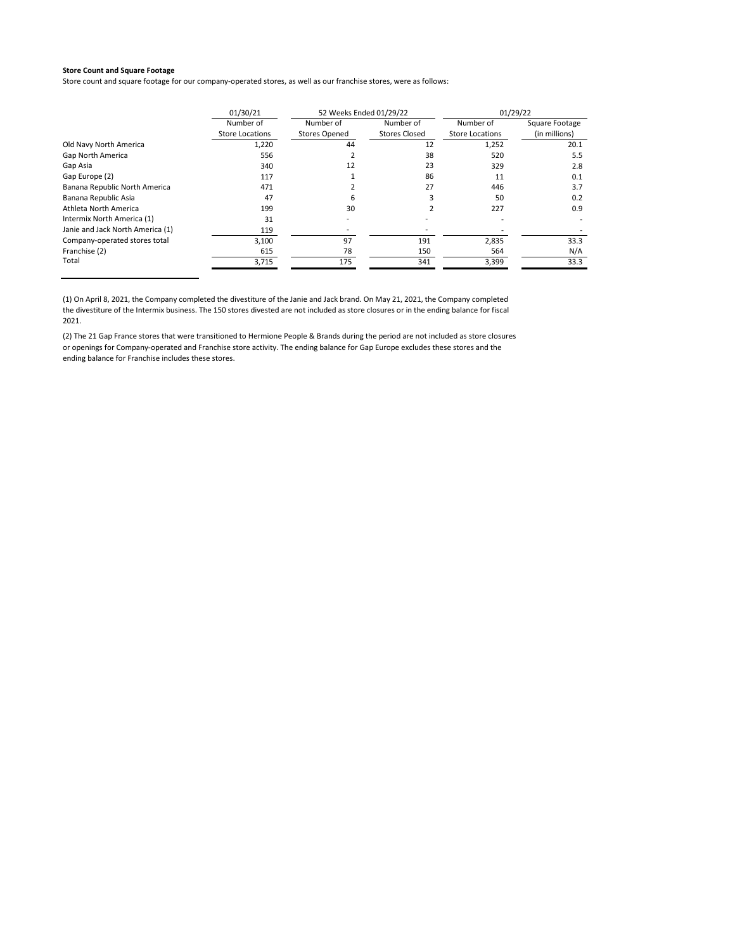Store count and square footage for our company-operated stores, as well as our franchise stores, were as follows:

|                                  | 01/30/21        | 52 Weeks Ended 01/29/22 |                      | 01/29/22        |                |
|----------------------------------|-----------------|-------------------------|----------------------|-----------------|----------------|
|                                  | Number of       | Number of               | Number of            | Number of       | Square Footage |
|                                  | Store Locations | <b>Stores Opened</b>    | <b>Stores Closed</b> | Store Locations | (in millions)  |
| Old Navy North America           | 1,220           | 44                      | 12                   | 1,252           | 20.1           |
| Gap North America                | 556             |                         | 38                   | 520             | 5.5            |
| Gap Asia                         | 340             | 12                      | 23                   | 329             | 2.8            |
| Gap Europe (2)                   | 117             |                         | 86                   | 11              | 0.1            |
| Banana Republic North America    | 471             |                         | 27                   | 446             | 3.7            |
| Banana Republic Asia             | 47              | 6                       |                      | 50              | 0.2            |
| Athleta North America            | 199             | 30                      |                      | 227             | 0.9            |
| Intermix North America (1)       | 31              |                         |                      |                 |                |
| Janie and Jack North America (1) | 119             |                         |                      |                 |                |
| Company-operated stores total    | 3,100           | 97                      | 191                  | 2,835           | 33.3           |
| Franchise (2)                    | 615             | 78                      | 150                  | 564             | N/A            |
| Total                            | 3,715           | 175                     | 341                  | 3,399           | 33.3           |

(1) On April 8, 2021, the Company completed the divestiture of the Janie and Jack brand. On May 21, 2021, the Company completed the divestiture of the Intermix business. The 150 stores divested are not included as store closures or in the ending balance for fiscal 2021.

(2) The 21 Gap France stores that were transitioned to Hermione People & Brands during the period are not included as store closures or openings for Company-operated and Franchise store activity. The ending balance for Gap Europe excludes these stores and the ending balance for Franchise includes these stores.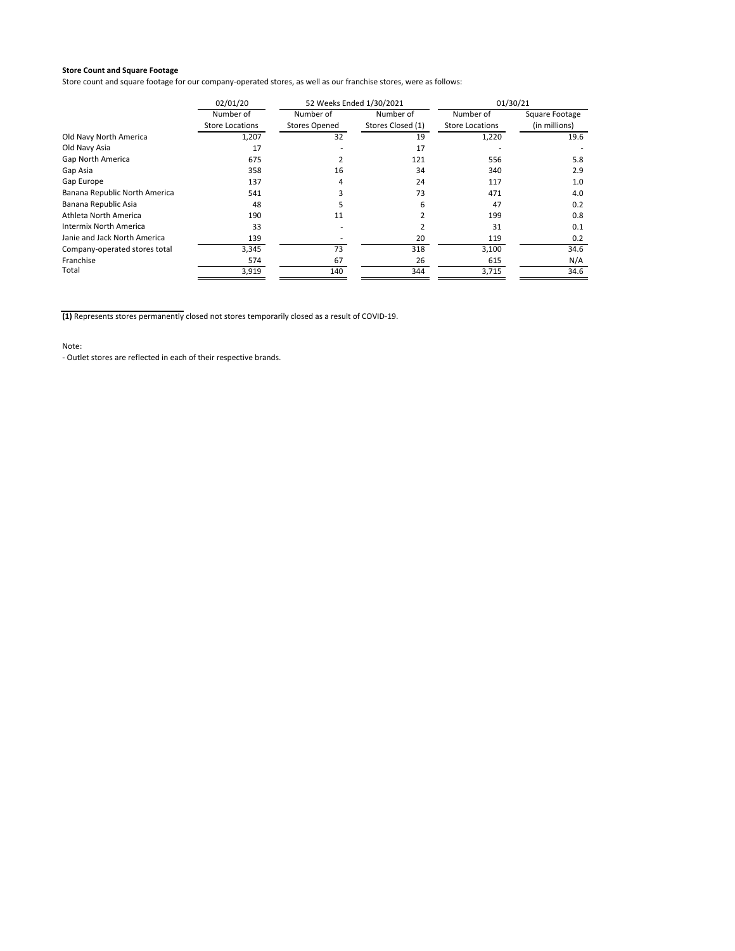Store count and square footage for our company‐operated stores, as well as our franchise stores, were as follows:

|                               | 02/01/20               | 52 Weeks Ended 1/30/2021 |                   | 01/30/21               |                |
|-------------------------------|------------------------|--------------------------|-------------------|------------------------|----------------|
|                               | Number of              | Number of                | Number of         | Number of              | Square Footage |
|                               | <b>Store Locations</b> | <b>Stores Opened</b>     | Stores Closed (1) | <b>Store Locations</b> | (in millions)  |
| Old Navy North America        | 1,207                  | 32                       | 19                | 1,220                  | 19.6           |
| Old Navy Asia                 | 17                     |                          | 17                |                        |                |
| Gap North America             | 675                    |                          | 121               | 556                    | 5.8            |
| Gap Asia                      | 358                    | 16                       | 34                | 340                    | 2.9            |
| Gap Europe                    | 137                    | 4                        | 24                | 117                    | 1.0            |
| Banana Republic North America | 541                    |                          | 73                | 471                    | 4.0            |
| Banana Republic Asia          | 48                     |                          | 6                 | 47                     | 0.2            |
| Athleta North America         | 190                    | 11                       |                   | 199                    | 0.8            |
| Intermix North America        | 33                     |                          |                   | 31                     | 0.1            |
| Janie and Jack North America  | 139                    |                          | 20                | 119                    | 0.2            |
| Company-operated stores total | 3,345                  | 73                       | 318               | 3,100                  | 34.6           |
| Franchise                     | 574                    | 67                       | 26                | 615                    | N/A            |
| Total                         | 3,919                  | 140                      | 344               | 3,715                  | 34.6           |

**(1)** Represents stores permanently closed not stores temporarily closed as a result of COVID‐19.

Note: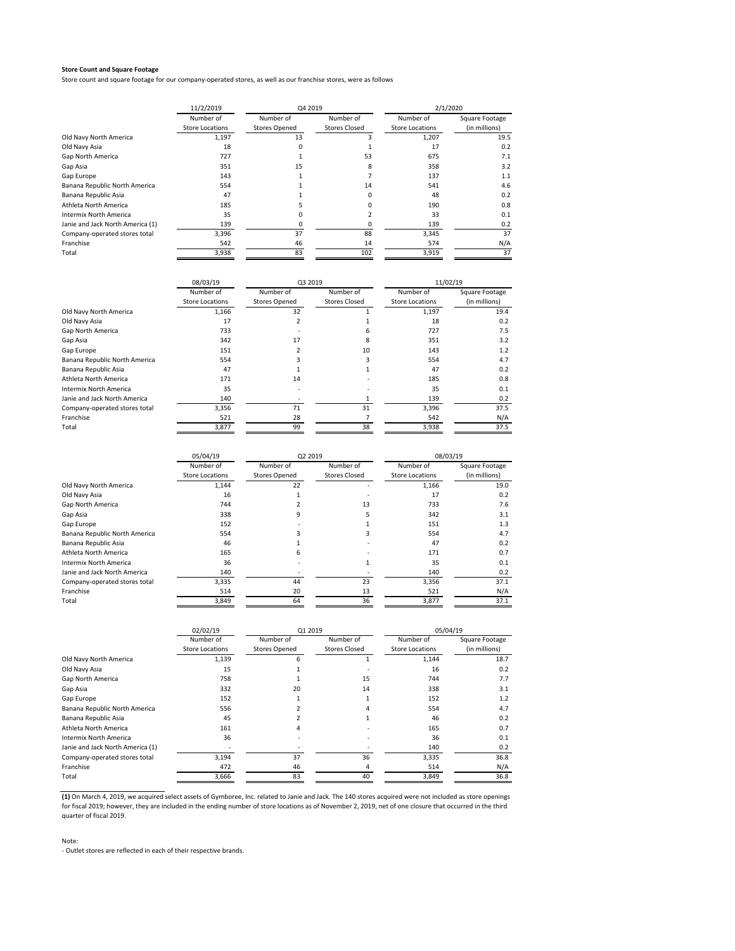Store count and square footage for our company-operated stores, as well as our franchise stores, were as follows

|                                  | 11/2/2019              |                      | Q4 2019              |                 | 2/1/2020       |  |
|----------------------------------|------------------------|----------------------|----------------------|-----------------|----------------|--|
|                                  | Number of              | Number of            | Number of            | Number of       | Square Footage |  |
|                                  | <b>Store Locations</b> | <b>Stores Opened</b> | <b>Stores Closed</b> | Store Locations | (in millions)  |  |
| Old Navy North America           | 1,197                  | 13                   | 3                    | 1,207           | 19.5           |  |
| Old Navy Asia                    | 18                     |                      |                      | 17              | 0.2            |  |
| Gap North America                | 727                    |                      | 53                   | 675             | 7.1            |  |
| Gap Asia                         | 351                    | 15                   | 8                    | 358             | 3.2            |  |
| Gap Europe                       | 143                    |                      |                      | 137             | 1.1            |  |
| Banana Republic North America    | 554                    |                      | 14                   | 541             | 4.6            |  |
| Banana Republic Asia             | 47                     |                      | $\Omega$             | 48              | 0.2            |  |
| Athleta North America            | 185                    |                      |                      | 190             | 0.8            |  |
| Intermix North America           | 35                     |                      |                      | 33              | 0.1            |  |
| Janie and Jack North America (1) | 139                    |                      |                      | 139             | 0.2            |  |
| Company-operated stores total    | 3,396                  | 37                   | 88                   | 3,345           | 37             |  |
| Franchise                        | 542                    | 46                   | 14                   | 574             | N/A            |  |
| Total                            | 3,938                  | 83                   | 102                  | 3,919           | 37             |  |

|                               | 08/03/19               | Q3 2019              |                      | 11/02/19               |                |
|-------------------------------|------------------------|----------------------|----------------------|------------------------|----------------|
|                               | Number of              | Number of            | Number of            | Number of              | Square Footage |
|                               | <b>Store Locations</b> | <b>Stores Opened</b> | <b>Stores Closed</b> | <b>Store Locations</b> | (in millions)  |
| Old Navy North America        | 1,166                  | 32                   |                      | 1,197                  | 19.4           |
| Old Navy Asia                 | 17                     |                      |                      | 18                     | 0.2            |
| Gap North America             | 733                    |                      |                      | 727                    | 7.5            |
| Gap Asia                      | 342                    | 17                   |                      | 351                    | 3.2            |
| Gap Europe                    | 151                    |                      | 10                   | 143                    | 1.2            |
| Banana Republic North America | 554                    |                      |                      | 554                    | 4.7            |
| Banana Republic Asia          | 47                     |                      |                      | 47                     | 0.2            |
| Athleta North America         | 171                    | 14                   |                      | 185                    | 0.8            |
| Intermix North America        | 35                     |                      |                      | 35                     | 0.1            |
| Janie and Jack North America  | 140                    |                      |                      | 139                    | 0.2            |
| Company-operated stores total | 3,356                  | 71                   | 31                   | 3,396                  | 37.5           |
| Franchise                     | 521                    | 28                   |                      | 542                    | N/A            |
| Total                         | 3,877                  | 99                   | 38                   | 3,938                  | 37.5           |

|                               | 05/04/19               | Q2 2019              |                      | 08/03/19        |                |
|-------------------------------|------------------------|----------------------|----------------------|-----------------|----------------|
|                               | Number of              | Number of            | Number of            | Number of       | Square Footage |
|                               | <b>Store Locations</b> | <b>Stores Opened</b> | <b>Stores Closed</b> | Store Locations | (in millions)  |
| Old Navy North America        | 1,144                  | 22                   |                      | 1,166           | 19.0           |
| Old Navy Asia                 | 16                     |                      |                      | 17              | 0.2            |
| Gap North America             | 744                    |                      | 13                   | 733             | 7.6            |
| Gap Asia                      | 338                    | 9                    | 5                    | 342             | 3.1            |
| Gap Europe                    | 152                    |                      |                      | 151             | 1.3            |
| Banana Republic North America | 554                    |                      | 3                    | 554             | 4.7            |
| Banana Republic Asia          | 46                     |                      |                      | 47              | 0.2            |
| Athleta North America         | 165                    | 6                    |                      | 171             | 0.7            |
| Intermix North America        | 36                     |                      |                      | 35              | 0.1            |
| Janie and Jack North America  | 140                    |                      |                      | 140             | 0.2            |
| Company-operated stores total | 3,335                  | 44                   | 23                   | 3,356           | 37.1           |
| Franchise                     | 514                    | 20                   | 13                   | 521             | N/A            |
| Total                         | 3,849                  | 64                   | 36                   | 3,877           | 37.1           |

|                                  | 02/02/19               |                      | 01 2019              |                        | 05/04/19       |  |
|----------------------------------|------------------------|----------------------|----------------------|------------------------|----------------|--|
|                                  | Number of              | Number of            | Number of            | Number of              | Square Footage |  |
|                                  | <b>Store Locations</b> | <b>Stores Opened</b> | <b>Stores Closed</b> | <b>Store Locations</b> | (in millions)  |  |
| Old Navy North America           | 1,139                  | 6                    |                      | 1,144                  | 18.7           |  |
| Old Navy Asia                    | 15                     |                      |                      | 16                     | 0.2            |  |
| Gap North America                | 758                    |                      | 15                   | 744                    | 7.7            |  |
| Gap Asia                         | 332                    | 20                   | 14                   | 338                    | 3.1            |  |
| Gap Europe                       | 152                    |                      |                      | 152                    | 1.2            |  |
| Banana Republic North America    | 556                    |                      | 4                    | 554                    | 4.7            |  |
| Banana Republic Asia             | 45                     |                      |                      | 46                     | 0.2            |  |
| Athleta North America            | 161                    | 4                    |                      | 165                    | 0.7            |  |
| Intermix North America           | 36                     |                      |                      | 36                     | 0.1            |  |
| Janie and Jack North America (1) |                        |                      |                      | 140                    | 0.2            |  |
| Company-operated stores total    | 3,194                  | 37                   | 36                   | 3,335                  | 36.8           |  |
| Franchise                        | 472                    | 46                   | 4                    | 514                    | N/A            |  |
| Total                            | 3,666                  | 83                   | 40                   | 3,849                  | 36.8           |  |

**(1)** On March 4, 2019, we acquired select assets of Gymboree, Inc. related to Janie and Jack. The 140 stores acquired were not included as store openings for fiscal 2019; however, they are included in the ending number of store locations as of November 2, 2019, net of one closure that occurred in the third quarter of fiscal 2019.

### Note: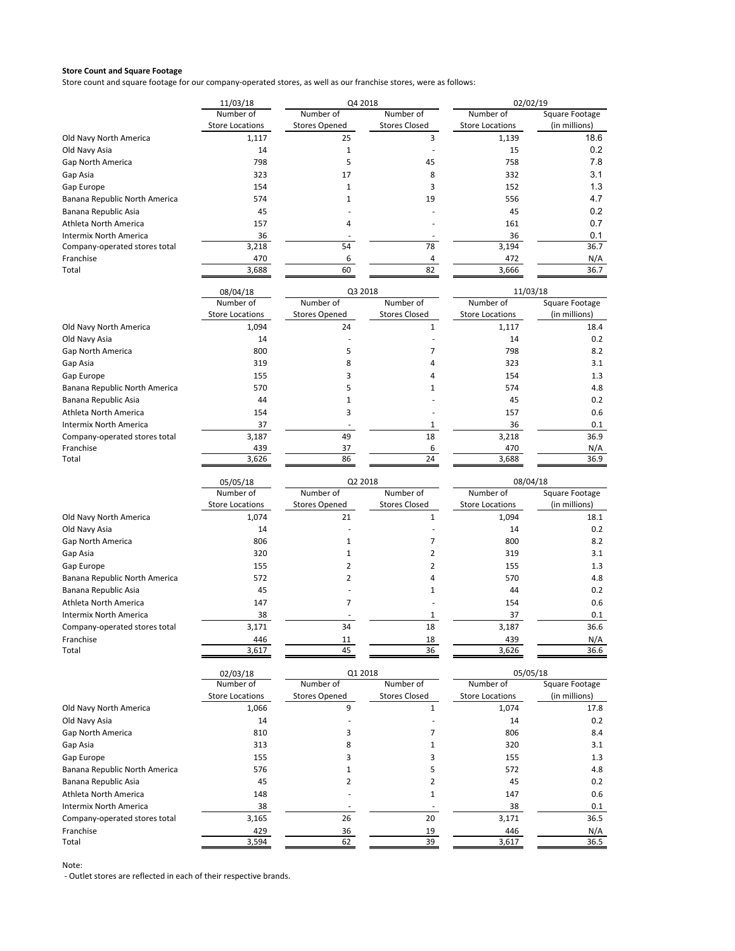Store count and square footage for our company‐operated stores, as well as our franchise stores, were as follows:

|                               | 11/03/18               | Q4 2018              |                      | 02/02/19               |                |
|-------------------------------|------------------------|----------------------|----------------------|------------------------|----------------|
|                               | Number of              | Number of            | Number of            | Number of              | Square Footage |
|                               | <b>Store Locations</b> | <b>Stores Opened</b> | <b>Stores Closed</b> | <b>Store Locations</b> | (in millions)  |
| Old Navy North America        | 1,117                  | 25                   |                      | 1,139                  | 18.6           |
| Old Navy Asia                 | 14                     |                      |                      | 15                     | 0.2            |
| Gap North America             | 798                    |                      | 45                   | 758                    | 7.8            |
| Gap Asia                      | 323                    | 17                   | 8                    | 332                    | 3.1            |
| Gap Europe                    | 154                    |                      |                      | 152                    | 1.3            |
| Banana Republic North America | 574                    |                      | 19                   | 556                    | 4.7            |
| Banana Republic Asia          | 45                     |                      |                      | 45                     | 0.2            |
| Athleta North America         | 157                    | 4                    |                      | 161                    | 0.7            |
| Intermix North America        | 36                     |                      |                      | 36                     | 0.1            |
| Company-operated stores total | 3,218                  | 54                   | 78                   | 3,194                  | 36.7           |
| Franchise                     | 470                    |                      |                      | 472                    | N/A            |
| Total                         | 3,688                  | 60                   | 82                   | 3,666                  | 36.7           |

|                               | 08/04/18               | Q3 2018              |                      | 11/03/18               |                |
|-------------------------------|------------------------|----------------------|----------------------|------------------------|----------------|
|                               | Number of              | Number of            | Number of            | Number of              | Square Footage |
|                               | <b>Store Locations</b> | <b>Stores Opened</b> | <b>Stores Closed</b> | <b>Store Locations</b> | (in millions)  |
| Old Navy North America        | 1,094                  | 24                   |                      | 1,117                  | 18.4           |
| Old Navy Asia                 | 14                     |                      |                      | 14                     | 0.2            |
| Gap North America             | 800                    |                      |                      | 798                    | 8.2            |
| Gap Asia                      | 319                    | 8                    |                      | 323                    | 3.1            |
| Gap Europe                    | 155                    |                      |                      | 154                    | 1.3            |
| Banana Republic North America | 570                    |                      |                      | 574                    | 4.8            |
| Banana Republic Asia          | 44                     |                      |                      | 45                     | 0.2            |
| Athleta North America         | 154                    |                      |                      | 157                    | 0.6            |
| <b>Intermix North America</b> | 37                     |                      |                      | 36                     | 0.1            |
| Company-operated stores total | 3,187                  | 49                   | 18                   | 3,218                  | 36.9           |
| Franchise                     | 439                    | 37                   |                      | 470                    | N/A            |
| Total                         | 3,626                  | 86                   | 24                   | 3,688                  | 36.9           |

|                               | 05/05/18               | Q2 2018              |                      | 08/04/18               |                |
|-------------------------------|------------------------|----------------------|----------------------|------------------------|----------------|
|                               | Number of              | Number of            | Number of            | Number of              | Square Footage |
|                               | <b>Store Locations</b> | <b>Stores Opened</b> | <b>Stores Closed</b> | <b>Store Locations</b> | (in millions)  |
| Old Navy North America        | 1,074                  | 21                   |                      | 1,094                  | 18.1           |
| Old Navy Asia                 | 14                     |                      |                      | 14                     | 0.2            |
| Gap North America             | 806                    |                      |                      | 800                    | 8.2            |
| Gap Asia                      | 320                    |                      |                      | 319                    | 3.1            |
| Gap Europe                    | 155                    |                      |                      | 155                    | 1.3            |
| Banana Republic North America | 572                    |                      | 4                    | 570                    | 4.8            |
| Banana Republic Asia          | 45                     |                      |                      | 44                     | 0.2            |
| Athleta North America         | 147                    |                      |                      | 154                    | 0.6            |
| Intermix North America        | 38                     |                      |                      | 37                     | 0.1            |
| Company-operated stores total | 3,171                  | 34                   | 18                   | 3,187                  | 36.6           |
| Franchise                     | 446                    | 11                   | 18                   | 439                    | N/A            |
| Total                         | 3,617                  | 45                   | 36                   | 3,626                  | 36.6           |

|                               | 02/03/18               |                      | Q1 2018              |                        | 05/05/18       |  |
|-------------------------------|------------------------|----------------------|----------------------|------------------------|----------------|--|
|                               | Number of              | Number of            | Number of            | Number of              | Square Footage |  |
|                               | <b>Store Locations</b> | <b>Stores Opened</b> | <b>Stores Closed</b> | <b>Store Locations</b> | (in millions)  |  |
| Old Navy North America        | 1,066                  | 9                    |                      | 1,074                  | 17.8           |  |
| Old Navy Asia                 | 14                     |                      |                      | 14                     | 0.2            |  |
| Gap North America             | 810                    |                      |                      | 806                    | 8.4            |  |
| Gap Asia                      | 313                    | 8                    |                      | 320                    | 3.1            |  |
| Gap Europe                    | 155                    |                      |                      | 155                    | 1.3            |  |
| Banana Republic North America | 576                    |                      |                      | 572                    | 4.8            |  |
| Banana Republic Asia          | 45                     |                      |                      | 45                     | 0.2            |  |
| Athleta North America         | 148                    |                      |                      | 147                    | 0.6            |  |
| Intermix North America        | 38                     |                      |                      | 38                     | 0.1            |  |
| Company-operated stores total | 3,165                  | 26                   | 20                   | 3,171                  | 36.5           |  |
| Franchise                     | 429                    | 36                   | 19                   | 446                    | N/A            |  |
| Total                         | 3,594                  | 62                   | 39                   | 3,617                  | 36.5           |  |

Note: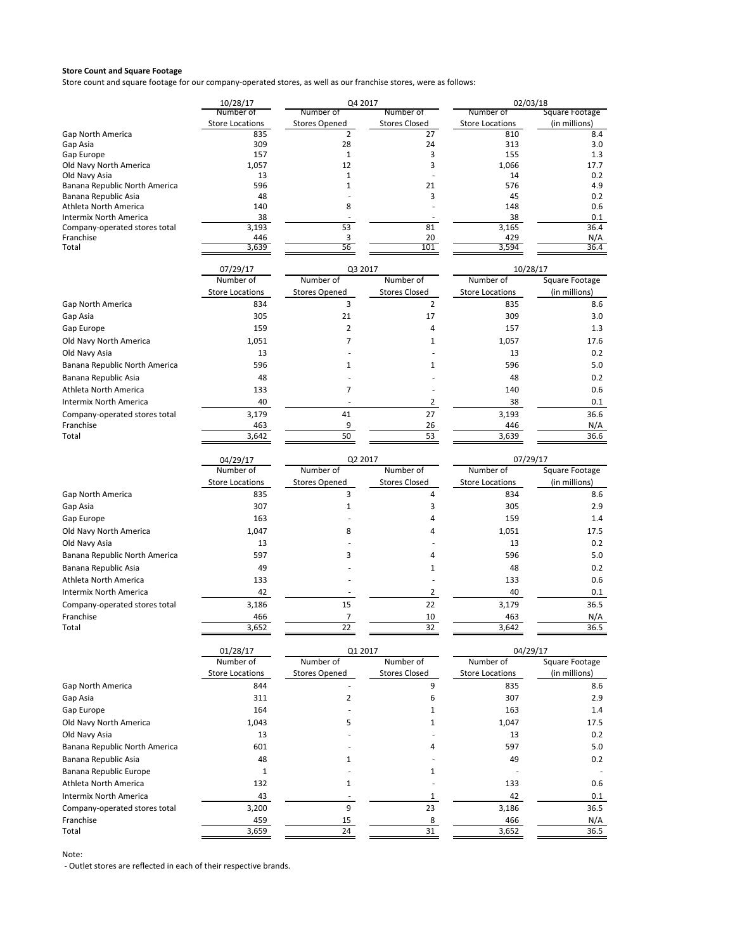Store count and square footage for our company‐operated stores, as well as our franchise stores, were as follows:

|                               | 10/28/17                      | Q4 2017                                |                            | 02/03/18                      |                      |  |
|-------------------------------|-------------------------------|----------------------------------------|----------------------------|-------------------------------|----------------------|--|
|                               | Number of                     | Number of                              | Number of                  | Number of                     | Square Footage       |  |
|                               | <b>Store Locations</b><br>835 | <b>Stores Opened</b><br>$\overline{2}$ | <b>Stores Closed</b><br>27 | <b>Store Locations</b><br>810 | (in millions)<br>8.4 |  |
| Gap North America<br>Gap Asia | 309                           | 28                                     | 24                         | 313                           | 3.0                  |  |
| Gap Europe                    | 157                           | $\mathbf{1}$                           | 3                          | 155                           | 1.3                  |  |
| Old Navy North America        | 1,057                         | 12                                     | 3                          | 1,066                         | 17.7                 |  |
| Old Navy Asia                 | 13                            | $\mathbf{1}$                           |                            | 14                            | 0.2                  |  |
| Banana Republic North America | 596                           | $\mathbf{1}$                           | 21                         | 576                           | 4.9                  |  |
| Banana Republic Asia          | 48                            |                                        | 3                          | 45                            | 0.2                  |  |
| Athleta North America         | 140                           | 8                                      |                            | 148                           | 0.6                  |  |
| <b>Intermix North America</b> | 38                            |                                        |                            | 38                            | 0.1                  |  |
| Company-operated stores total | 3.193                         | 53                                     | 81                         | 3,165                         | 36.4                 |  |
| Franchise<br>Total            | 446<br>3,639                  | 3<br>56                                | 20<br>101                  | 429<br>3,594                  | N/A<br>36.4          |  |
|                               |                               |                                        |                            |                               |                      |  |
|                               | 07/29/17                      | Q3 2017                                |                            | 10/28/17                      |                      |  |
|                               | Number of                     | Number of                              | Number of                  | Number of                     | Square Footage       |  |
|                               | <b>Store Locations</b>        | <b>Stores Opened</b>                   | <b>Stores Closed</b>       | <b>Store Locations</b>        | (in millions)        |  |
| Gap North America             | 834                           | 3                                      | $\overline{2}$             | 835                           | 8.6                  |  |
| Gap Asia                      | 305                           | 21                                     | 17                         | 309                           | 3.0                  |  |
| Gap Europe                    | 159                           | $\overline{2}$                         | 4                          | 157                           | 1.3                  |  |
| Old Navy North America        | 1,051                         | $\overline{7}$                         | 1                          | 1,057                         | 17.6                 |  |
| Old Navy Asia                 | 13                            |                                        |                            | 13                            | 0.2                  |  |
| Banana Republic North America | 596                           | 1                                      | 1                          | 596                           | 5.0                  |  |
| Banana Republic Asia          | 48                            |                                        |                            | 48                            | 0.2                  |  |
| Athleta North America         | 133                           | 7                                      |                            | 140                           | 0.6                  |  |
| Intermix North America        | 40                            |                                        | 2                          | 38                            | 0.1                  |  |
| Company-operated stores total | 3,179                         | 41                                     | 27                         | 3,193                         | 36.6                 |  |
| Franchise                     | 463                           | 9                                      | 26                         | 446                           | N/A                  |  |
| Total                         | 3,642                         | 50                                     | 53                         | 3,639                         | 36.6                 |  |
|                               |                               |                                        |                            |                               |                      |  |
|                               | 04/29/17                      | Q2 2017                                |                            | 07/29/17                      |                      |  |
|                               | Number of                     | Number of                              | Number of                  | Number of                     | Square Footage       |  |
|                               | <b>Store Locations</b>        | <b>Stores Opened</b>                   | <b>Stores Closed</b>       | <b>Store Locations</b>        | (in millions)        |  |
| Gap North America             | 835                           | 3                                      | 4                          | 834                           | 8.6                  |  |
| Gap Asia                      | 307                           | $\mathbf{1}$                           | 3                          | 305                           | 2.9                  |  |
| Gap Europe                    | 163                           |                                        | 4                          | 159                           | 1.4                  |  |
| Old Navy North America        | 1,047                         | 8                                      | 4                          | 1,051                         | 17.5                 |  |
| Old Navy Asia                 | 13                            |                                        |                            | 13                            | 0.2                  |  |
| Banana Republic North America | 597                           | 3                                      | 4                          | 596                           | 5.0                  |  |
| Banana Republic Asia          | 49                            |                                        | 1                          | 48                            | 0.2                  |  |
| Athleta North America         | 133                           |                                        |                            | 133                           | 0.6                  |  |
| <b>Intermix North America</b> | 42                            |                                        | 2                          | 40                            | 0.1                  |  |
| Company-operated stores total | 3,186                         | 15                                     | 22                         | 3,179                         | 36.5                 |  |
| Franchise                     | 466                           | 7                                      | 10                         | 463                           | N/A                  |  |
| Total                         | 3,652                         | 22                                     | 32                         | 3,642                         | 36.5                 |  |
|                               |                               |                                        |                            |                               |                      |  |
|                               | 01/28/17                      | Q1 2017                                |                            | 04/29/17                      |                      |  |
|                               | Number of                     | Number of                              | Number of                  | Number of                     | Square Footage       |  |
|                               | <b>Store Locations</b>        | <b>Stores Opened</b>                   | <b>Stores Closed</b>       | <b>Store Locations</b>        | (in millions)        |  |
| Gap North America             | 844                           |                                        | 9                          | 835                           | 8.6                  |  |
| Gap Asia                      | 311                           | $\overline{2}$                         | 6                          | 307                           | 2.9                  |  |
| Gap Europe                    | 164                           |                                        | 1                          | 163                           | 1.4                  |  |
| Old Navy North America        | 1,043                         | 5                                      | 1                          | 1,047                         | 17.5                 |  |
| Old Navy Asia                 | 13                            |                                        |                            | 13                            | 0.2                  |  |
| Banana Republic North America | 601                           |                                        | 4                          | 597                           | 5.0                  |  |
| Banana Republic Asia          | 48                            | $\mathbf{1}$                           |                            | 49                            | 0.2                  |  |
| Banana Republic Europe        | $1\,$                         |                                        | 1                          |                               |                      |  |
| Athleta North America         | 132                           | $\mathbf{1}$                           |                            | 133                           | 0.6                  |  |
| <b>Intermix North America</b> | 43                            | $\sim$                                 |                            | 42                            | 0.1                  |  |
|                               |                               |                                        | 1                          |                               |                      |  |
| Company-operated stores total | 3,200                         | 9                                      | 23                         | 3,186                         | 36.5                 |  |
| Franchise                     | 459                           | 15                                     | 8                          | 466                           | N/A                  |  |
| Total                         | 3,659                         | 24                                     | 31                         | 3,652                         | 36.5                 |  |

Note: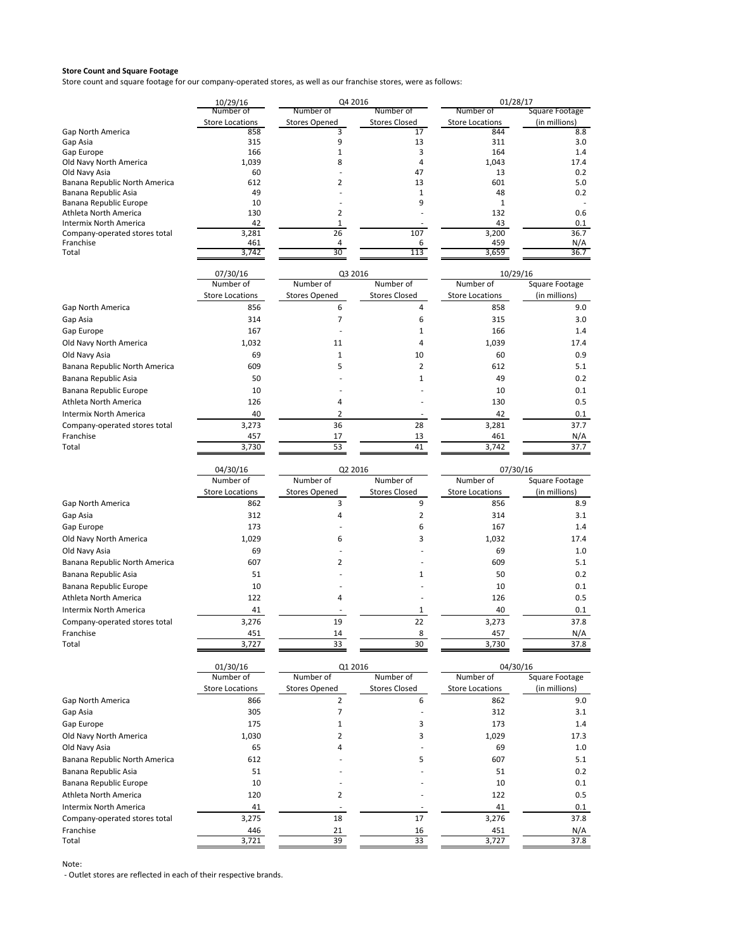Store count and square footage for our company‐operated stores, as well as our franchise stores, were as follows:

|                                                        | 10/29/16<br>Number of         | Q4 2016              |                      | 01/28/17               |                |  |  |
|--------------------------------------------------------|-------------------------------|----------------------|----------------------|------------------------|----------------|--|--|
|                                                        |                               | Number of            | Number of            | Number of              | Square Footage |  |  |
|                                                        | <b>Store Locations</b>        | <b>Stores Opened</b> | <b>Stores Closed</b> | <b>Store Locations</b> | (in millions)  |  |  |
| <b>Gap North America</b>                               | 858                           | 3                    | 17                   | 844                    | 8.8            |  |  |
| Gap Asia<br>Gap Europe                                 | 315<br>166                    | 9<br>1               | 13<br>3              | 311<br>164             | 3.0<br>1.4     |  |  |
| Old Navy North America                                 | 1.039                         | 8                    | 4                    | 1,043                  | 17.4           |  |  |
| Old Navy Asia                                          | 60                            |                      | 47                   | 13                     | 0.2            |  |  |
| Banana Republic North America                          | 612                           | 2                    | 13                   | 601                    | 5.0            |  |  |
| Banana Republic Asia                                   | 49                            |                      | 1                    | 48                     | 0.2            |  |  |
| Banana Republic Europe                                 | 10                            |                      | 9                    | 1                      |                |  |  |
| Athleta North America<br><b>Intermix North America</b> | 130<br>42                     | 2<br>1               |                      | 132<br>43              | 0.6<br>0.1     |  |  |
| Company-operated stores total                          | 3,281                         | 26                   | 107                  | 3,200                  | 36.7           |  |  |
| Franchise                                              | 461                           | 4                    | 6                    | 459                    | N/A            |  |  |
| Total                                                  | 3,742                         | 30                   | 113                  | 3,659                  | 36.7           |  |  |
|                                                        |                               |                      |                      |                        |                |  |  |
|                                                        | 07/30/16                      | Q3 2016              |                      | 10/29/16               |                |  |  |
|                                                        | Number of                     | Number of            | Number of            | Number of              | Square Footage |  |  |
|                                                        | <b>Store Locations</b>        | <b>Stores Opened</b> | <b>Stores Closed</b> | <b>Store Locations</b> | (in millions)  |  |  |
| Gap North America                                      | 856                           | 6                    | 4                    | 858                    | 9.0            |  |  |
| Gap Asia                                               | 314                           | 7                    | 6                    | 315                    | 3.0            |  |  |
| Gap Europe                                             | 167                           | ÷.                   | 1                    | 166                    | 1.4            |  |  |
| Old Navy North America                                 | 1,032                         | 11                   | 4                    | 1,039                  | 17.4           |  |  |
| Old Navy Asia                                          | 69                            | 1                    | 10                   | 60                     | 0.9            |  |  |
| Banana Republic North America                          | 609                           | 5                    | $\overline{2}$       | 612                    | 5.1            |  |  |
| Banana Republic Asia                                   | 50                            |                      | 1                    | 49                     | 0.2            |  |  |
| Banana Republic Europe                                 | 10                            |                      |                      | 10                     | 0.1            |  |  |
| Athleta North America                                  | 126                           | 4                    |                      | 130                    | 0.5            |  |  |
| Intermix North America                                 | 40                            | 2                    |                      | 42                     | 0.1            |  |  |
| Company-operated stores total                          | 3,273                         | 36                   | 28                   | 3,281                  | 37.7           |  |  |
| Franchise                                              | 457                           | 17                   | 13                   | 461                    | N/A            |  |  |
| Total                                                  | 3,730                         | 53                   | 41                   | 3,742                  | 37.7           |  |  |
|                                                        | 07/30/16                      |                      |                      |                        |                |  |  |
|                                                        | 04/30/16                      | Q2 2016              |                      |                        |                |  |  |
|                                                        | Number of                     | Number of            | Number of            | Number of              | Square Footage |  |  |
|                                                        | <b>Store Locations</b>        | <b>Stores Opened</b> | <b>Stores Closed</b> | <b>Store Locations</b> | (in millions)  |  |  |
| Gap North America                                      | 862                           | 3                    | 9                    | 856                    | 8.9            |  |  |
| Gap Asia                                               | 312                           | 4                    | $\overline{2}$       | 314                    | 3.1            |  |  |
| Gap Europe                                             | 173                           |                      | 6                    | 167                    | 1.4            |  |  |
| Old Navy North America                                 | 1,029                         | 6                    | 3                    | 1,032                  | 17.4           |  |  |
| Old Navy Asia                                          | 69                            |                      |                      | 69                     | 1.0            |  |  |
| Banana Republic North America                          | 607                           | 2                    |                      | 609                    | 5.1            |  |  |
| Banana Republic Asia                                   | 51                            |                      | 1                    | 50                     | 0.2            |  |  |
| Banana Republic Europe                                 | 10                            |                      |                      | 10                     | 0.1            |  |  |
| Athleta North America                                  | 122                           | 4                    |                      | 126                    | 0.5            |  |  |
| Intermix North America                                 | 41                            |                      | 1                    | 40                     | 0.1            |  |  |
| Company-operated stores total                          | 3,276                         | 19                   | 22                   | 3,273                  | 37.8           |  |  |
| Franchise                                              | 451                           |                      | 8                    | 457                    | N/A            |  |  |
| Total                                                  | 3,727                         | 33                   | 30                   | 3,730                  | 37.8           |  |  |
|                                                        |                               |                      |                      |                        |                |  |  |
|                                                        | 01/30/16<br>Number of         | Q1 2016<br>Number of | Number of            | 04/30/16<br>Number of  | Square Footage |  |  |
|                                                        |                               | <b>Stores Opened</b> | <b>Stores Closed</b> | <b>Store Locations</b> | (in millions)  |  |  |
| Gap North America                                      | <b>Store Locations</b><br>866 | $\overline{2}$       | 6                    | 862                    | 9.0            |  |  |
|                                                        | 305                           | 7                    |                      | 312                    |                |  |  |
| Gap Asia<br>Gap Europe                                 | 175                           | 1                    | 3                    | 173                    | 3.1<br>1.4     |  |  |
|                                                        |                               |                      |                      |                        |                |  |  |
| Old Navy North America                                 | 1,030                         | 2                    | 3                    | 1,029                  | 17.3           |  |  |
| Old Navy Asia                                          | 65                            | 4                    |                      | 69                     | 1.0            |  |  |
| Banana Republic North America                          | 612                           |                      | 5                    | 607                    | 5.1            |  |  |
| Banana Republic Asia                                   | 51                            |                      |                      | 51                     | 0.2            |  |  |
| Banana Republic Europe                                 | 10                            |                      |                      | 10                     | 0.1            |  |  |
| Athleta North America                                  | 120                           | 2                    |                      | 122                    | 0.5            |  |  |
| Intermix North America                                 | 41                            |                      |                      | 41                     | 0.1            |  |  |
| Company-operated stores total                          | 3,275                         | 18                   | 17                   | 3,276                  | 37.8           |  |  |
| Franchise                                              | 446                           | 21                   | 16                   | 451                    | N/A            |  |  |
| Total                                                  | 3,721                         | 39                   | 33                   | 3,727                  | 37.8           |  |  |

Note: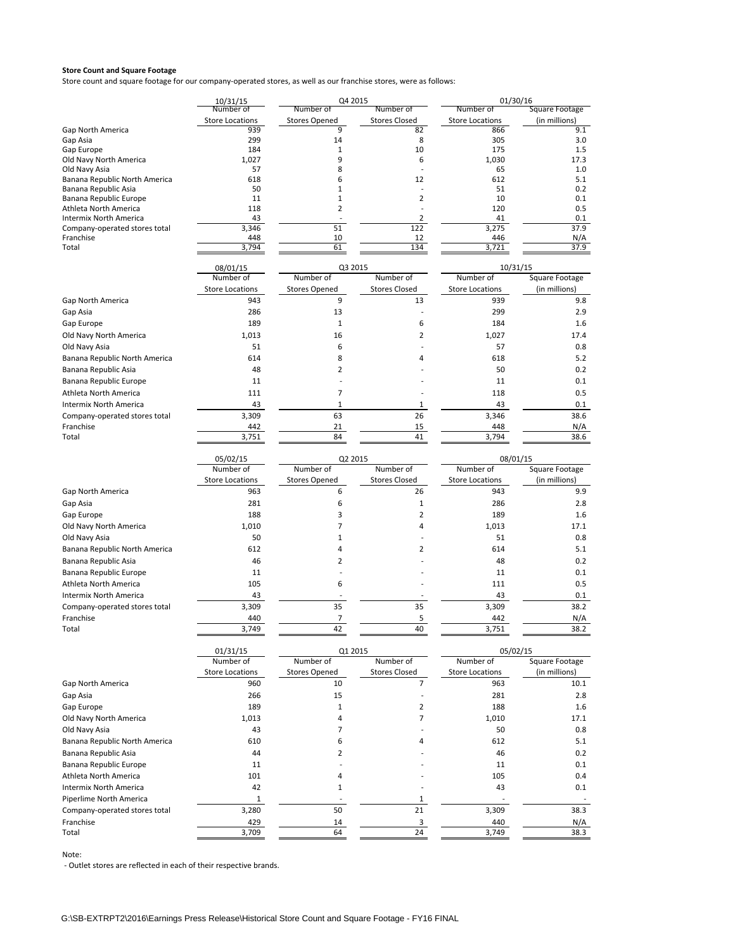Store count and square footage for our company‐operated stores, as well as our franchise stores, were as follows:

|                                            | 10/31/15                      | Q4 2015                   |                            | 01/30/16                      |                       |
|--------------------------------------------|-------------------------------|---------------------------|----------------------------|-------------------------------|-----------------------|
|                                            | Number of                     | Number of                 | Number of                  | Number of                     | <b>Square Footage</b> |
| <b>Gap North America</b>                   | <b>Store Locations</b><br>939 | <b>Stores Opened</b><br>9 | <b>Stores Closed</b><br>82 | <b>Store Locations</b><br>866 | (in millions)<br>9.1  |
| Gap Asia                                   | 299                           | 14                        | 8                          | 305                           | 3.0                   |
| Gap Europe                                 | 184                           | 1                         | 10                         | 175                           | 1.5                   |
| Old Navy North America                     | 1,027                         | 9                         | 6                          | 1,030                         | 17.3                  |
| Old Navy Asia                              | 57                            | 8                         |                            | 65                            | 1.0                   |
| Banana Republic North America              | 618                           | 6                         | 12                         | 612                           | 5.1                   |
| Banana Republic Asia                       | 50                            | 1                         |                            | 51                            | 0.2                   |
| Banana Republic Europe                     | 11                            | 1                         | 2                          | 10                            | 0.1                   |
| Athleta North America                      | 118                           | 2                         |                            | 120                           | 0.5                   |
| Intermix North America                     | 43                            |                           | 2                          | 41                            | 0.1                   |
| Company-operated stores total              | 3,346                         | 51                        | 122                        | 3,275                         | 37.9                  |
| Franchise<br>Total                         | 448<br>3,794                  | 10<br>61                  | 12<br>134                  | 446<br>3,721                  | N/A<br>37.9           |
|                                            | 08/01/15                      | Q3 2015                   |                            | 10/31/15                      |                       |
|                                            | Number of                     | Number of                 | Number of                  | Number of                     | Square Footage        |
|                                            | <b>Store Locations</b>        | <b>Stores Opened</b>      | <b>Stores Closed</b>       | <b>Store Locations</b>        | (in millions)         |
| Gap North America                          | 943                           | 9                         | 13                         | 939                           | 9.8                   |
|                                            |                               |                           |                            |                               |                       |
| Gap Asia                                   | 286                           | 13                        |                            | 299                           | 2.9                   |
| Gap Europe                                 | 189                           | $1\,$                     | 6                          | 184                           | 1.6                   |
| Old Navy North America                     | 1,013                         | 16                        | 2                          | 1,027                         | 17.4                  |
| Old Navy Asia                              | 51                            | 6                         |                            | 57                            | 0.8                   |
| Banana Republic North America              | 614                           | 8                         | 4                          | 618                           | 5.2                   |
| Banana Republic Asia                       | 48                            | 2                         |                            | 50                            | 0.2                   |
| Banana Republic Europe                     | 11                            |                           |                            | 11                            | 0.1                   |
| Athleta North America                      | 111                           | 7                         |                            | 118                           | 0.5                   |
| <b>Intermix North America</b>              | 43                            | 1                         | 1                          | 43                            | 0.1                   |
|                                            | 3,309                         | 63                        | 26                         | 3,346                         | 38.6                  |
| Company-operated stores total<br>Franchise | 442                           | 21                        | 15                         | 448                           |                       |
| Total                                      | 3,751                         | 84                        | 41                         | 3,794                         | N/A<br>38.6           |
|                                            |                               |                           |                            |                               |                       |
|                                            | 05/02/15<br>Number of         | Q2 2015<br>Number of      | Number of                  | 08/01/15<br>Number of         | Square Footage        |
|                                            | <b>Store Locations</b>        | <b>Stores Opened</b>      | <b>Stores Closed</b>       | <b>Store Locations</b>        | (in millions)         |
| Gap North America                          | 963                           | 6                         | 26                         | 943                           | 9.9                   |
|                                            | 281                           | 6                         | $\mathbf{1}$               | 286                           | 2.8                   |
| Gap Asia                                   |                               |                           |                            |                               |                       |
| Gap Europe                                 | 188                           | 3                         | 2                          | 189                           | 1.6                   |
| Old Navy North America                     | 1,010                         | 7                         | 4                          | 1,013                         | 17.1                  |
| Old Navy Asia                              | 50                            | $\mathbf{1}$              |                            | 51                            | 0.8                   |
| Banana Republic North America              | 612                           | 4                         | $\overline{2}$             | 614                           | 5.1                   |
| Banana Republic Asia                       | 46                            | 2                         |                            | 48                            | 0.2                   |
| Banana Republic Europe                     | 11                            |                           |                            | 11                            | 0.1                   |
| Athleta North America                      | 105                           | 6                         |                            | 111                           | 0.5                   |
| Intermix North America                     | 43                            |                           |                            | 43                            | 0.1                   |
| Company-operated stores total              | 3,309                         | 35                        | 35                         | 3,309                         | 38.2                  |
| Franchise                                  | 440                           | 7                         | 5                          | 442                           | N/A                   |
| Total                                      | 3,749                         | 42                        | 40                         | 3,751                         | 38.2                  |
|                                            |                               |                           |                            |                               |                       |
|                                            | 01/31/15<br>Number of         | Q1 2015<br>Number of      | Number of                  | 05/02/15<br>Number of         | Square Footage        |
|                                            |                               |                           |                            |                               |                       |
|                                            | <b>Store Locations</b>        | <b>Stores Opened</b>      | <b>Stores Closed</b>       | <b>Store Locations</b>        | (in millions)         |
| Gap North America                          | 960                           | 10                        | 7                          | 963                           | 10.1                  |
| Gap Asia                                   | 266                           | 15                        |                            | 281                           | 2.8                   |
| Gap Europe                                 | 189                           | 1                         | 2                          | 188                           | 1.6                   |
| Old Navy North America                     | 1,013                         | 4                         | 7                          | 1,010                         | 17.1                  |
| Old Navy Asia                              | 43                            | 7                         |                            | 50                            | 0.8                   |
| Banana Republic North America              | 610                           | 6                         | 4                          | 612                           | 5.1                   |
| Banana Republic Asia                       | 44                            | 2                         |                            | 46                            | 0.2                   |
| Banana Republic Europe                     | 11                            |                           |                            | 11                            | 0.1                   |
|                                            |                               |                           |                            |                               |                       |
| Athleta North America                      | 101                           | 4                         |                            | 105                           | 0.4                   |
| Intermix North America                     | 42                            | $\mathbf{1}$              |                            | 43                            | 0.1                   |
| Piperlime North America                    | $\mathbf{1}$                  |                           | $\mathbf{1}$               |                               |                       |
| Company-operated stores total              | 3,280                         | 50                        | 21                         | 3,309                         | 38.3                  |
| Franchise                                  | 429                           | 14                        | 3                          | 440                           | N/A                   |
| Total                                      | 3,709                         | 64                        | 24                         | 3,749                         | 38.3                  |
|                                            |                               |                           |                            |                               |                       |

Note: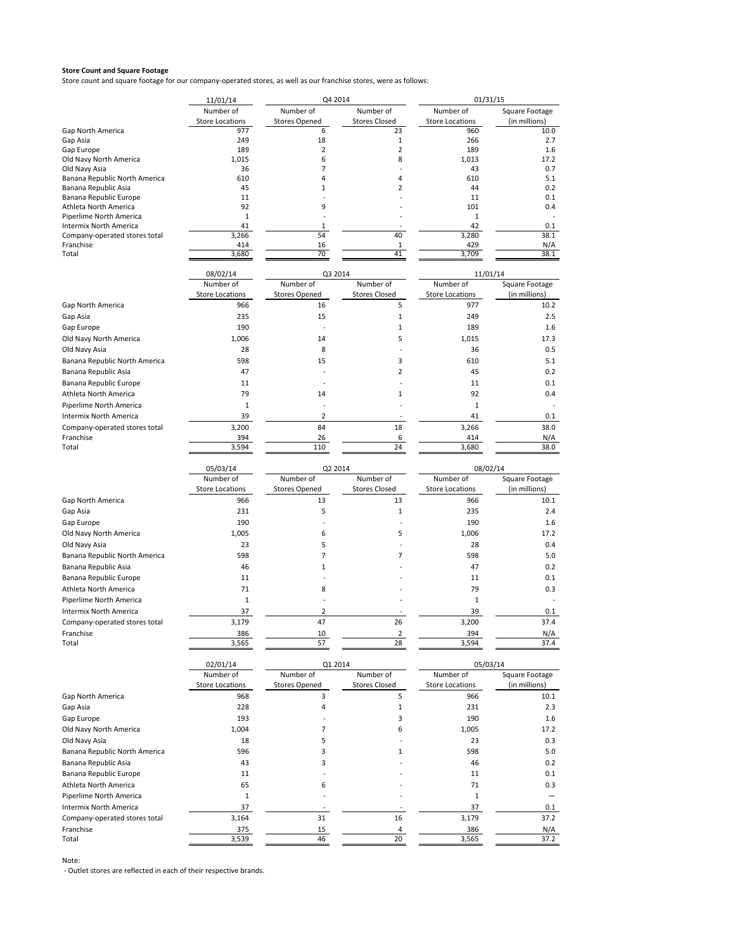Store count and square footage for our company‐operated stores, as well as our franchise stores, were as follows:

|                                                | 11/01/14               | Q4 2014                  |                      | 01/31/15               |                |  |  |
|------------------------------------------------|------------------------|--------------------------|----------------------|------------------------|----------------|--|--|
|                                                | Number of              | Number of                | Number of            | Number of              | Square Footage |  |  |
|                                                | <b>Store Locations</b> | <b>Stores Opened</b>     | <b>Stores Closed</b> | <b>Store Locations</b> | (in millions)  |  |  |
| Gap North America                              | 977                    | 6                        | 23                   | 960                    | 10.0           |  |  |
| Gap Asia                                       | 249                    | 18                       | 1                    | 266                    | 2.7            |  |  |
| Gap Europe                                     | 189                    | $\overline{2}$           | $\overline{2}$       | 189                    | 1.6            |  |  |
| Old Navy North America                         | 1,015                  | 6                        | 8                    | 1.013                  | 17.2           |  |  |
| Old Navy Asia<br>Banana Republic North America | 36<br>610              | 7<br>4                   | $\overline{4}$       | 43<br>610              | 0.7<br>5.1     |  |  |
| Banana Republic Asia                           | 45                     | 1                        | 2                    | 44                     | 0.2            |  |  |
| Banana Republic Europe                         | 11                     |                          |                      | 11                     | 0.1            |  |  |
| Athleta North America                          | 92                     | 9                        |                      | 101                    | 0.4            |  |  |
| Piperlime North America                        | 1                      |                          |                      | 1                      |                |  |  |
| Intermix North America                         | 41                     | $\mathbf{1}$             |                      | 42                     | 0.1            |  |  |
| Company-operated stores total                  | 3,266                  | 54                       | 40                   | 3,280                  | 38.1           |  |  |
| Franchise                                      | 414                    | 16                       | 1                    | 429                    | N/A            |  |  |
| Total                                          | 3,680                  | 70                       | 41                   | 3,709                  | 38.1           |  |  |
|                                                |                        |                          |                      |                        |                |  |  |
|                                                | 08/02/14               | Q3 2014                  |                      | 11/01/14               |                |  |  |
|                                                | Number of              | Number of                | Number of            | Number of              | Square Footage |  |  |
|                                                | <b>Store Locations</b> | <b>Stores Opened</b>     | <b>Stores Closed</b> | <b>Store Locations</b> | (in millions)  |  |  |
| Gap North America                              | 966                    | 16                       | 5                    | 977                    | 10.2           |  |  |
| Gap Asia                                       | 235                    | 15                       | 1                    | 249                    | 2.5            |  |  |
| Gap Europe                                     | 190                    |                          | $\mathbf{1}$         | 189                    | 1.6            |  |  |
| Old Navy North America                         | 1,006                  | 14                       | 5                    | 1,015                  | 17.3           |  |  |
| Old Navy Asia                                  | 28                     | 8                        |                      | 36                     | 0.5            |  |  |
| Banana Republic North America                  | 598                    | 15                       | 3                    | 610                    | 5.1            |  |  |
| Banana Republic Asia                           | 47                     |                          | $\overline{2}$       | 45                     | 0.2            |  |  |
|                                                |                        |                          |                      |                        |                |  |  |
| Banana Republic Europe                         | 11                     |                          |                      | 11                     | 0.1            |  |  |
| Athleta North America                          | 79                     | 14                       | 1                    | 92                     | 0.4            |  |  |
| Piperlime North America                        | $\mathbf{1}$           |                          |                      | $\mathbf 1$            |                |  |  |
| Intermix North America                         | 39                     | $\overline{2}$           |                      | 41                     | 0.1            |  |  |
| Company-operated stores total                  | 3,200                  | 84                       | 18                   | 3,266                  | 38.0           |  |  |
| Franchise                                      | 394                    | 26                       | 6                    | 414                    | N/A            |  |  |
| Total                                          | 3,594                  | 110                      | 24                   | 3,680                  | 38.0           |  |  |
|                                                |                        |                          |                      |                        |                |  |  |
|                                                | 05/03/14               | Q2 2014                  |                      | 08/02/14               |                |  |  |
|                                                | Number of              | Number of                | Number of            | Number of              | Square Footage |  |  |
|                                                | <b>Store Locations</b> | <b>Stores Opened</b>     | <b>Stores Closed</b> | <b>Store Locations</b> | (in millions)  |  |  |
| Gap North America                              | 966                    | 13                       | 13                   | 966                    | 10.1           |  |  |
| Gap Asia                                       | 231                    | 5                        | 1                    | 235                    | 2.4            |  |  |
| Gap Europe                                     | 190                    |                          |                      | 190                    | 1.6            |  |  |
| Old Navy North America                         | 1,005                  | 6                        | 5                    | 1,006                  | 17.2           |  |  |
| Old Navy Asia                                  | 23                     | 5                        |                      | 28                     | 0.4            |  |  |
|                                                |                        | 7                        | 7                    |                        |                |  |  |
| Banana Republic North America                  | 598                    |                          |                      | 598                    | 5.0            |  |  |
| Banana Republic Asia                           | 46                     | 1                        |                      | 47                     | 0.2            |  |  |
| Banana Republic Europe                         | 11                     |                          |                      | 11                     | 0.1            |  |  |
| Athleta North America                          | 71                     | 8                        |                      | 79                     | 0.3            |  |  |
| Piperlime North America                        | $\mathbf{1}$           |                          |                      | $\mathbf 1$            |                |  |  |
| <b>Intermix North America</b>                  | 37                     | $\overline{2}$           |                      | 39                     | 0.1            |  |  |
| Company-operated stores total                  | 3,179                  | 47                       | 26                   | 3,200                  | 37.4           |  |  |
| Franchise                                      | 386                    | 10                       | 2                    | 394                    | N/A            |  |  |
| Total                                          | 3,565                  | 57                       | 28                   | 3,594                  | 37.4           |  |  |
|                                                |                        |                          |                      |                        |                |  |  |
|                                                | 02/01/14               | Q1 2014                  |                      | 05/03/14               |                |  |  |
|                                                | Number of              | Number of                | Number of            | Number of              | Square Footage |  |  |
|                                                | <b>Store Locations</b> | <b>Stores Opened</b>     | <b>Stores Closed</b> | <b>Store Locations</b> | (in millions)  |  |  |
| Gap North America                              | 968                    | 3                        | 5                    | 966                    | 10.1           |  |  |
| Gap Asia                                       | 228                    | 4                        | $\mathbf 1$          | 231                    | 2.3            |  |  |
| Gap Europe                                     |                        |                          |                      |                        |                |  |  |
|                                                | 193                    |                          | 3                    | 190                    | 1.6            |  |  |
| Old Navy North America                         | 1,004                  | 7                        | 6                    | 1,005                  | 17.2           |  |  |
| Old Navy Asia                                  | 18                     | 5                        |                      | 23                     | 0.3            |  |  |
| Banana Republic North America                  | 596                    | 3                        | 1                    | 598                    | 5.0            |  |  |
| Banana Republic Asia                           | 43                     | 3                        |                      | 46                     | 0.2            |  |  |
| Banana Republic Europe                         | 11                     |                          |                      | 11                     | 0.1            |  |  |
| Athleta North America                          | 65                     | 6                        |                      | 71                     | 0.3            |  |  |
| Piperlime North America                        | $\mathbf 1$            |                          |                      | 1                      |                |  |  |
| Intermix North America                         | 37                     | $\overline{\phantom{a}}$ |                      | 37                     | 0.1            |  |  |
|                                                |                        |                          |                      |                        |                |  |  |
| Company-operated stores total                  | 3,164                  | 31                       | 16                   | 3,179                  | 37.2           |  |  |
| Franchise                                      | 375                    | 15                       | 4                    | 386                    | N/A            |  |  |
| Total                                          | 3,539                  | 46                       | 20                   | 3,565                  | 37.2           |  |  |

Note: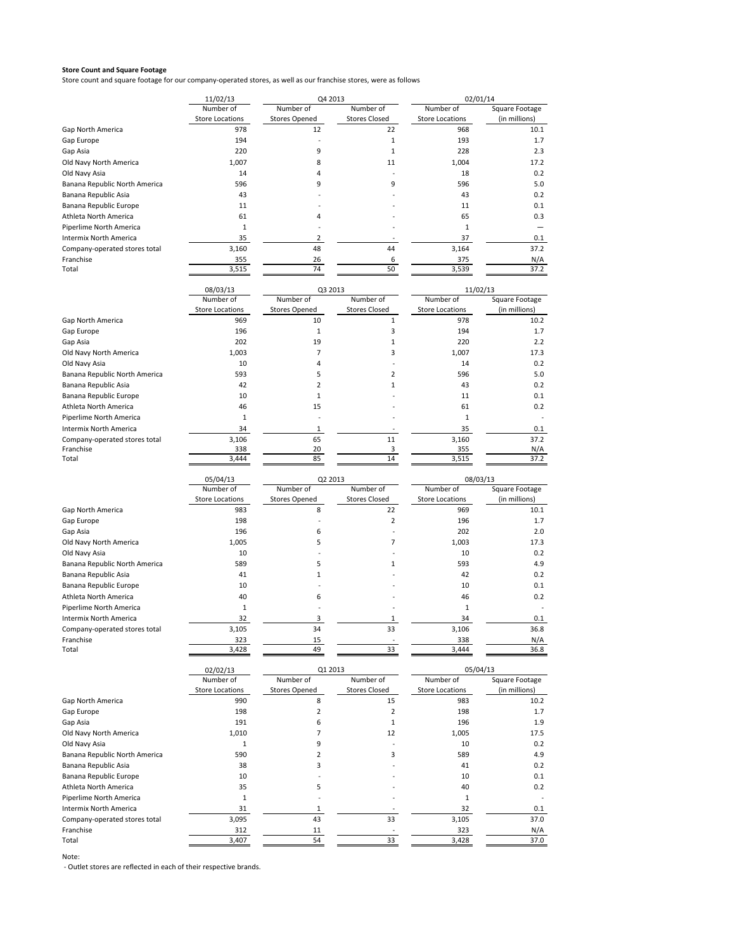Store count and square footage for our company‐operated stores, as well as our franchise stores, were as follows

|                               | 11/02/13               | Q4 2013              |                      | 02/01/14               |                |
|-------------------------------|------------------------|----------------------|----------------------|------------------------|----------------|
|                               | Number of              | Number of            | Number of            | Number of              | Square Footage |
|                               | <b>Store Locations</b> | <b>Stores Opened</b> | <b>Stores Closed</b> | <b>Store Locations</b> | (in millions)  |
| Gap North America             | 978                    | 12                   | 22                   | 968                    | 10.1           |
| Gap Europe                    | 194                    |                      |                      | 193                    | 1.7            |
| Gap Asia                      | 220                    | q                    |                      | 228                    | 2.3            |
| Old Navy North America        | 1,007                  | 8                    | 11                   | 1,004                  | 17.2           |
| Old Navy Asia                 | 14                     |                      |                      | 18                     | 0.2            |
| Banana Republic North America | 596                    | 9                    | 9                    | 596                    | 5.0            |
| Banana Republic Asia          | 43                     |                      |                      | 43                     | 0.2            |
| Banana Republic Europe        | 11                     |                      |                      | 11                     | 0.1            |
| Athleta North America         | 61                     | 4                    |                      | 65                     | 0.3            |
| Piperlime North America       |                        |                      |                      |                        |                |
| <b>Intermix North America</b> | 35                     |                      |                      | 37                     | 0.1            |
| Company-operated stores total | 3,160                  | 48                   | 44                   | 3,164                  | 37.2           |
| Franchise                     | 355                    | 26                   | 6                    | 375                    | N/A            |
| Total                         | 3,515                  | 74                   | 50                   | 3,539                  | 37.2           |
|                               |                        |                      |                      |                        |                |

|                               | 08/03/13               | Q3 2013              |                      | 11/02/13               |                |
|-------------------------------|------------------------|----------------------|----------------------|------------------------|----------------|
|                               | Number of              | Number of            | Number of            | Number of              | Square Footage |
|                               | <b>Store Locations</b> | <b>Stores Opened</b> | <b>Stores Closed</b> | <b>Store Locations</b> | (in millions)  |
| Gap North America             | 969                    | 10                   |                      | 978                    | 10.2           |
| Gap Europe                    | 196                    |                      |                      | 194                    | 1.7            |
| Gap Asia                      | 202                    | 19                   |                      | 220                    | 2.2            |
| Old Navy North America        | 1,003                  |                      | ς                    | 1,007                  | 17.3           |
| Old Navy Asia                 | 10                     |                      |                      | 14                     | 0.2            |
| Banana Republic North America | 593                    |                      |                      | 596                    | 5.0            |
| Banana Republic Asia          | 42                     |                      |                      | 43                     | 0.2            |
| Banana Republic Europe        | 10                     |                      |                      | 11                     | 0.1            |
| Athleta North America         | 46                     | 15                   |                      | 61                     | 0.2            |
| Piperlime North America       |                        |                      |                      |                        |                |
| <b>Intermix North America</b> | 34                     |                      |                      | 35                     | 0.1            |
| Company-operated stores total | 3,106                  | 65                   | 11                   | 3,160                  | 37.2           |
| Franchise                     | 338                    | 20                   |                      | 355                    | N/A            |
| Total                         | 3,444                  | 85                   | 14                   | 3,515                  | 37.2           |

|                               | 05/04/13               | Q2 2013              |                      | 08/03/13               |                |
|-------------------------------|------------------------|----------------------|----------------------|------------------------|----------------|
|                               | Number of              | Number of            | Number of            | Number of              | Square Footage |
|                               | <b>Store Locations</b> | <b>Stores Opened</b> | <b>Stores Closed</b> | <b>Store Locations</b> | (in millions)  |
| Gap North America             | 983                    | 8                    | 22                   | 969                    | 10.1           |
| Gap Europe                    | 198                    |                      | 2                    | 196                    | 1.7            |
| Gap Asia                      | 196                    | 6                    |                      | 202                    | 2.0            |
| Old Navy North America        | 1,005                  | 5                    |                      | 1,003                  | 17.3           |
| Old Navy Asia                 | 10                     |                      |                      | 10                     | 0.2            |
| Banana Republic North America | 589                    |                      |                      | 593                    | 4.9            |
| Banana Republic Asia          | 41                     |                      |                      | 42                     | 0.2            |
| Banana Republic Europe        | 10                     |                      |                      | 10                     | 0.1            |
| Athleta North America         | 40                     | 6                    |                      | 46                     | 0.2            |
| Piperlime North America       |                        |                      |                      |                        |                |
| Intermix North America        | 32                     | 3                    |                      | 34                     | 0.1            |
| Company-operated stores total | 3,105                  | 34                   | 33                   | 3,106                  | 36.8           |
| Franchise                     | 323                    | 15                   |                      | 338                    | N/A            |
| Total                         | 3,428                  | 49                   | 33                   | 3,444                  | 36.8           |

|                               | 02/02/13               | Q1 2013              |                      | 05/04/13               |                |
|-------------------------------|------------------------|----------------------|----------------------|------------------------|----------------|
|                               | Number of              | Number of            | Number of            | Number of              | Square Footage |
|                               | <b>Store Locations</b> | <b>Stores Opened</b> | <b>Stores Closed</b> | <b>Store Locations</b> | (in millions)  |
| Gap North America             | 990                    | 8                    | 15                   | 983                    | 10.2           |
| Gap Europe                    | 198                    |                      |                      | 198                    | 1.7            |
| Gap Asia                      | 191                    | 6                    |                      | 196                    | 1.9            |
| Old Navy North America        | 1,010                  |                      | 12                   | 1,005                  | 17.5           |
| Old Navy Asia                 |                        | q                    |                      | 10                     | 0.2            |
| Banana Republic North America | 590                    |                      | 3                    | 589                    | 4.9            |
| Banana Republic Asia          | 38                     | 3                    |                      | 41                     | 0.2            |
| Banana Republic Europe        | 10                     |                      |                      | 10                     | 0.1            |
| Athleta North America         | 35                     |                      |                      | 40                     | 0.2            |
| Piperlime North America       |                        |                      |                      | 1                      |                |
| Intermix North America        | 31                     |                      |                      | 32                     | 0.1            |
| Company-operated stores total | 3,095                  | 43                   | 33                   | 3,105                  | 37.0           |
| Franchise                     | 312                    | 11                   |                      | 323                    | N/A            |
| Total                         | 3,407                  | 54                   | 33                   | 3,428                  | 37.0           |

Note: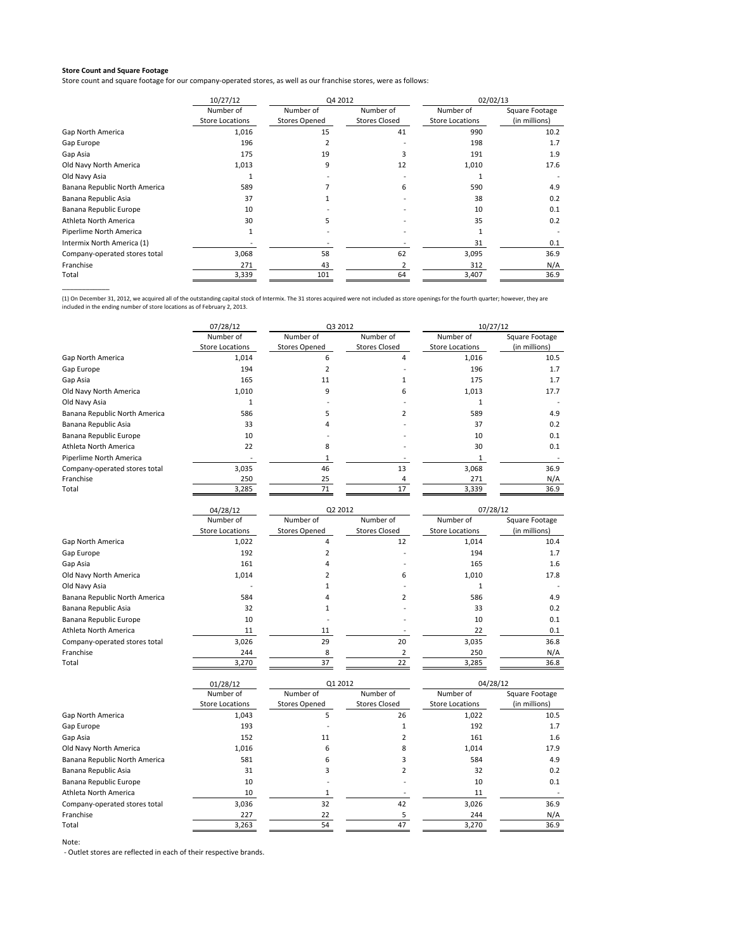\_\_\_\_\_\_\_\_\_\_\_\_

Store count and square footage for our company-operated stores, as well as our franchise stores, were as follows:

|                               | 10/27/12               | Q4 2012              |                      | 02/02/13               |                |
|-------------------------------|------------------------|----------------------|----------------------|------------------------|----------------|
|                               | Number of              | Number of            | Number of            | Number of              | Square Footage |
|                               | <b>Store Locations</b> | <b>Stores Opened</b> | <b>Stores Closed</b> | <b>Store Locations</b> | (in millions)  |
| Gap North America             | 1,016                  | 15                   | 41                   | 990                    | 10.2           |
| Gap Europe                    | 196                    |                      |                      | 198                    | 1.7            |
| Gap Asia                      | 175                    | 19                   | 3                    | 191                    | 1.9            |
| Old Navy North America        | 1,013                  | 9                    | 12                   | 1,010                  | 17.6           |
| Old Navy Asia                 |                        |                      |                      |                        |                |
| Banana Republic North America | 589                    |                      | 6.                   | 590                    | 4.9            |
| Banana Republic Asia          | 37                     |                      |                      | 38                     | 0.2            |
| Banana Republic Europe        | 10                     |                      |                      | 10                     | 0.1            |
| Athleta North America         | 30                     |                      |                      | 35                     | 0.2            |
| Piperlime North America       |                        |                      |                      |                        |                |
| Intermix North America (1)    |                        |                      |                      | 31                     | 0.1            |
| Company-operated stores total | 3,068                  | 58                   | 62                   | 3,095                  | 36.9           |
| Franchise                     | 271                    | 43                   |                      | 312                    | N/A            |
| Total                         | 3,339                  | 101                  | 64                   | 3,407                  | 36.9           |

(1) On December 31, 2012, we acquired all of the outstanding capital stock of Intermix. The 31 stores acquired were not included as store openings for the fourth quarter; however, they are<br>included in the ending number of

|                               | 07/28/12               | Q3 2012              |                      | 10/27/12               |                |
|-------------------------------|------------------------|----------------------|----------------------|------------------------|----------------|
|                               | Number of              | Number of            | Number of            | Number of              | Square Footage |
|                               | <b>Store Locations</b> | <b>Stores Opened</b> | <b>Stores Closed</b> | <b>Store Locations</b> | (in millions)  |
| Gap North America             | 1,014                  | 6                    | 4                    | 1,016                  | 10.5           |
| Gap Europe                    | 194                    |                      |                      | 196                    | 1.7            |
| Gap Asia                      | 165                    | 11                   |                      | 175                    | 1.7            |
| Old Navy North America        | 1,010                  | 9                    | 6.                   | 1,013                  | 17.7           |
| Old Navy Asia                 |                        |                      |                      |                        |                |
| Banana Republic North America | 586                    |                      |                      | 589                    | 4.9            |
| Banana Republic Asia          | 33                     |                      |                      | 37                     | 0.2            |
| Banana Republic Europe        | 10                     |                      |                      | 10                     | 0.1            |
| Athleta North America         | 22                     | 8                    |                      | 30                     | 0.1            |
| Piperlime North America       |                        |                      |                      |                        |                |
| Company-operated stores total | 3,035                  | 46                   | 13                   | 3,068                  | 36.9           |
| Franchise                     | 250                    | 25                   |                      | 271                    | N/A            |
| Total                         | 3,285                  | 71                   | 17                   | 3,339                  | 36.9           |

|                               | 04/28/12               | Q2 2012              |                      | 07/28/12               |                |
|-------------------------------|------------------------|----------------------|----------------------|------------------------|----------------|
|                               | Number of              | Number of            | Number of            | Number of              | Square Footage |
|                               | <b>Store Locations</b> | <b>Stores Opened</b> | <b>Stores Closed</b> | <b>Store Locations</b> | (in millions)  |
| Gap North America             | 1,022                  | 4                    | 12                   | 1,014                  | 10.4           |
| Gap Europe                    | 192                    |                      |                      | 194                    | 1.7            |
| Gap Asia                      | 161                    | 4                    |                      | 165                    | 1.6            |
| Old Navy North America        | 1,014                  |                      | 6                    | 1,010                  | 17.8           |
| Old Navy Asia                 |                        |                      |                      |                        |                |
| Banana Republic North America | 584                    |                      |                      | 586                    | 4.9            |
| Banana Republic Asia          | 32                     |                      |                      | 33                     | 0.2            |
| Banana Republic Europe        | 10                     |                      |                      | 10                     | 0.1            |
| Athleta North America         | 11                     | 11                   |                      | 22                     | 0.1            |
| Company-operated stores total | 3,026                  | 29                   | 20                   | 3,035                  | 36.8           |
| Franchise                     | 244                    | 8                    |                      | 250                    | N/A            |
| Total                         | 3,270                  | 37                   | 22                   | 3,285                  | 36.8           |

|                               | 01/28/12               | Q1 2012              |                      | 04/28/12               |                |
|-------------------------------|------------------------|----------------------|----------------------|------------------------|----------------|
|                               | Number of              | Number of            | Number of            | Number of              | Square Footage |
|                               | <b>Store Locations</b> | <b>Stores Opened</b> | <b>Stores Closed</b> | <b>Store Locations</b> | (in millions)  |
| Gap North America             | 1,043                  | C.                   | 26                   | 1,022                  | 10.5           |
| Gap Europe                    | 193                    |                      |                      | 192                    | 1.7            |
| Gap Asia                      | 152                    | 11                   |                      | 161                    | 1.6            |
| Old Navy North America        | 1,016                  | 6                    | 8                    | 1,014                  | 17.9           |
| Banana Republic North America | 581                    | 6                    |                      | 584                    | 4.9            |
| Banana Republic Asia          | 31                     | э                    |                      | 32                     | 0.2            |
| Banana Republic Europe        | 10                     |                      |                      | 10                     | 0.1            |
| Athleta North America         | 10                     |                      |                      | 11                     |                |
| Company-operated stores total | 3,036                  | 32                   | 42                   | 3,026                  | 36.9           |
| Franchise                     | 227                    | 22                   |                      | 244                    | N/A            |
| Total                         | 3,263                  | 54                   | 47                   | 3,270                  | 36.9           |

Note: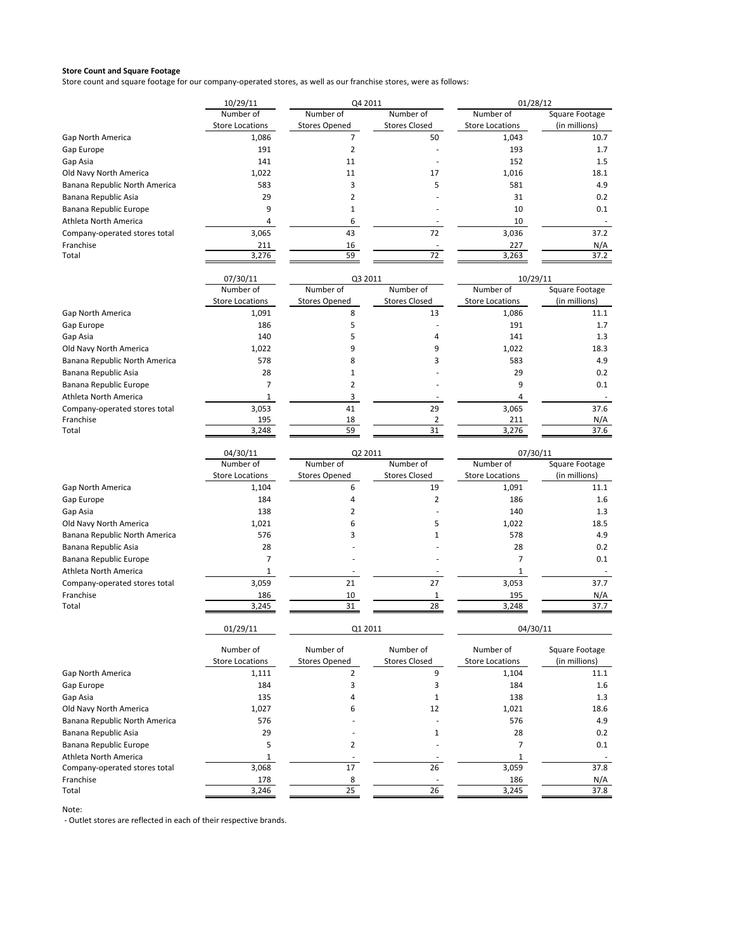Store count and square footage for our company‐operated stores, as well as our franchise stores, were as follows:

|                               | 10/29/11               | Q4 2011              |                      | 01/28/12               |                |
|-------------------------------|------------------------|----------------------|----------------------|------------------------|----------------|
|                               | Number of              | Number of            | Number of            | Number of              | Square Footage |
|                               | <b>Store Locations</b> | <b>Stores Opened</b> | <b>Stores Closed</b> | <b>Store Locations</b> | (in millions)  |
| Gap North America             | 1,086                  | $\overline{7}$       | 50                   | 1,043                  | 10.7           |
| Gap Europe                    | 191                    | $\overline{2}$       |                      | 193                    | 1.7            |
| Gap Asia                      | 141                    | 11                   |                      | 152                    | 1.5            |
| Old Navy North America        | 1,022                  | 11                   | 17                   | 1,016                  | 18.1           |
| Banana Republic North America | 583                    | 3                    | 5                    | 581                    | 4.9            |
| Banana Republic Asia          | 29                     | $\overline{2}$       |                      | 31                     | 0.2            |
| Banana Republic Europe        | 9                      | $1\,$                |                      | 10                     | 0.1            |
| Athleta North America         | 4                      | 6                    |                      | 10                     |                |
| Company-operated stores total | 3,065                  | 43                   | 72                   | 3,036                  | 37.2           |
| Franchise                     | 211                    | 16                   |                      | 227                    | N/A            |
| Total                         | 3,276                  | 59                   | 72                   | 3,263                  | 37.2           |
|                               | 07/30/11               | Q3 2011              |                      | 10/29/11               |                |
|                               | Number of              | Number of            | Number of            | Number of              | Square Footage |
|                               | <b>Store Locations</b> | <b>Stores Opened</b> | <b>Stores Closed</b> | <b>Store Locations</b> | (in millions)  |
| <b>Gap North America</b>      | 1,091                  | 8                    | 13                   | 1,086                  | 11.1           |
| Gap Europe                    | 186                    | 5                    |                      | 191                    | 1.7            |
| Gap Asia                      | 140                    | 5                    | 4                    | 141                    | 1.3            |
| Old Navy North America        | 1,022                  | 9                    | 9                    | 1,022                  | 18.3           |
| Banana Republic North America | 578                    | 8                    | 3                    | 583                    | 4.9            |
| Banana Republic Asia          | 28                     | 1                    |                      | 29                     | 0.2            |
| Banana Republic Europe        | 7                      | $\mathbf 2$          |                      | 9                      | 0.1            |
| Athleta North America         | 1                      | 3                    |                      | 4                      |                |
| Company-operated stores total | 3,053                  | 41                   | 29                   | 3,065                  | 37.6           |
| Franchise                     | 195                    | 18                   | 2                    | 211                    | N/A            |
| Total                         | 3,248                  | 59                   | 31                   | 3,276                  | 37.6           |
|                               | 04/30/11               | Q2 2011              |                      | 07/30/11               |                |
|                               | Number of              | Number of            | Number of            | Number of              | Square Footage |
|                               | <b>Store Locations</b> | <b>Stores Opened</b> | <b>Stores Closed</b> | <b>Store Locations</b> | (in millions)  |
| <b>Gap North America</b>      | 1,104                  | 6                    | 19                   | 1,091                  | 11.1           |
| Gap Europe                    | 184                    | $\overline{4}$       | 2                    | 186                    | 1.6            |
| Gap Asia                      | 138                    | 2                    |                      | 140                    | 1.3            |
| Old Navy North America        | 1,021                  | 6                    | 5                    | 1,022                  | 18.5           |
| Banana Republic North America | 576                    | 3                    | 1                    | 578                    | 4.9            |
| Banana Republic Asia          | 28                     |                      |                      | 28                     | 0.2            |
| Banana Republic Europe        | 7                      |                      |                      | 7                      | 0.1            |
| Athleta North America         | 1                      |                      |                      | 1                      |                |
| Company-operated stores total | 3,059                  | 21                   | 27                   | 3,053                  | 37.7           |
| Franchise                     | 186                    | 10                   | $\mathbf{1}$         | 195                    | N/A            |
| Total                         | 3,245                  | 31                   | 28                   | 3,248                  | 37.7           |
|                               | 01/29/11               | Q1 2011              |                      | 04/30/11               |                |
|                               | Number of              | Number of            | Number of            | Number of              | Square Footage |
|                               | <b>Store Locations</b> | <b>Stores Opened</b> | <b>Stores Closed</b> | <b>Store Locations</b> | (in millions)  |
| <b>Gap North America</b>      | 1,111                  | 2                    | 9                    | 1,104                  | 11.1           |
| Gap Europe                    | 184                    | 3                    | 3                    | 184                    | 1.6            |
| Gap Asia                      | 135                    | 4                    | 1                    | 138                    | 1.3            |
| Old Navy North America        | 1,027                  | 6                    | 12                   | 1,021                  | 18.6           |
| Banana Republic North America | 576                    |                      |                      | 576                    | 4.9            |
| Banana Republic Asia          | 29                     |                      | 1                    | 28                     | 0.2            |
| Banana Republic Europe        | 5                      | $\mathbf 2$          |                      | 7                      | 0.1            |
| Athleta North America         | 1                      |                      |                      | 1                      |                |
| Company-operated stores total | 3,068                  | 17                   | 26                   | 3,059                  | 37.8           |
| Franchise                     | 178                    | 8                    |                      | 186                    | N/A            |
| Total                         | 3,246                  | 25                   | 26                   | 3,245                  | 37.8           |

Note: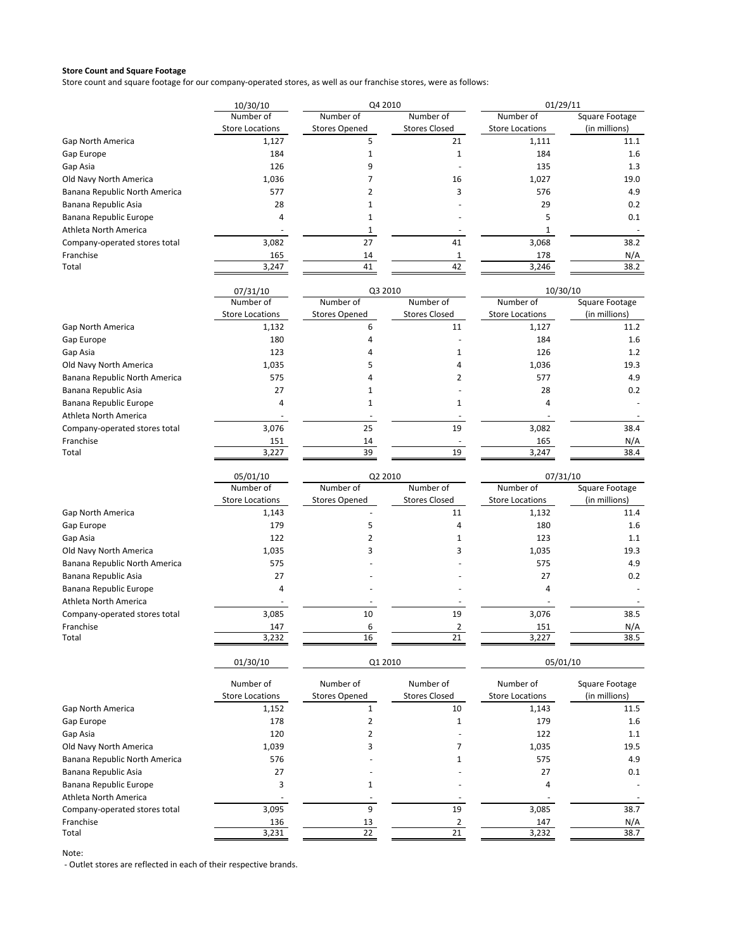Store count and square footage for our company‐operated stores, as well as our franchise stores, were as follows:

|                               | 10/30/10               | Q4 2010              |                      | 01/29/11               |                |
|-------------------------------|------------------------|----------------------|----------------------|------------------------|----------------|
|                               | Number of              | Number of            | Number of            | Number of              | Square Footage |
|                               | <b>Store Locations</b> | <b>Stores Opened</b> | <b>Stores Closed</b> | <b>Store Locations</b> | (in millions)  |
| Gap North America             | 1,127                  |                      | 21                   | 1,111                  | 11.1           |
| Gap Europe                    | 184                    |                      |                      | 184                    | 1.6            |
| Gap Asia                      | 126                    |                      |                      | 135                    | 1.3            |
| Old Navy North America        | 1,036                  |                      | 16                   | 1,027                  | 19.0           |
| Banana Republic North America | 577                    |                      |                      | 576                    | 4.9            |
| Banana Republic Asia          | 28                     |                      |                      | 29                     | 0.2            |
| Banana Republic Europe        | 4                      |                      |                      |                        | 0.1            |
| Athleta North America         |                        |                      |                      |                        |                |
| Company-operated stores total | 3,082                  | 27                   | 41                   | 3,068                  | 38.2           |
| Franchise                     | 165                    | 14                   |                      | 178                    | N/A            |
| Total                         | 3,247                  | 41                   | 42                   | 3,246                  | 38.2           |

|                               | 07/31/10               | Q3 2010              |                      |                        | 10/30/10       |  |
|-------------------------------|------------------------|----------------------|----------------------|------------------------|----------------|--|
|                               | Number of              | Number of            | Number of            | Number of              | Square Footage |  |
|                               | <b>Store Locations</b> | <b>Stores Opened</b> | <b>Stores Closed</b> | <b>Store Locations</b> | (in millions)  |  |
| Gap North America             | 1,132                  |                      | 11                   | 1,127                  | 11.2           |  |
| Gap Europe                    | 180                    |                      |                      | 184                    | 1.6            |  |
| Gap Asia                      | 123                    |                      |                      | 126                    | 1.2            |  |
| Old Navy North America        | 1,035                  |                      |                      | 1,036                  | 19.3           |  |
| Banana Republic North America | 575                    |                      |                      | 577                    | 4.9            |  |
| Banana Republic Asia          | 27                     |                      |                      | 28                     | 0.2            |  |
| Banana Republic Europe        | 4                      |                      |                      | 4                      |                |  |
| Athleta North America         |                        |                      |                      |                        |                |  |
| Company-operated stores total | 3,076                  | 25                   | 19                   | 3,082                  | 38.4           |  |
| Franchise                     | 151                    | 14                   |                      | 165                    | N/A            |  |
| Total                         | 3,227                  | 39                   | 19                   | 3,247                  | 38.4           |  |

|                               | 05/01/10<br>Number of  | Q2 2010              |                      | 07/31/10               |                |
|-------------------------------|------------------------|----------------------|----------------------|------------------------|----------------|
|                               |                        | Number of            | Number of            | Number of              | Square Footage |
|                               | <b>Store Locations</b> | <b>Stores Opened</b> | <b>Stores Closed</b> | <b>Store Locations</b> | (in millions)  |
| Gap North America             | 1,143                  |                      | 11                   | 1,132                  | 11.4           |
| Gap Europe                    | 179                    |                      |                      | 180                    | 1.6            |
| Gap Asia                      | 122                    |                      |                      | 123                    | 1.1            |
| Old Navy North America        | 1,035                  |                      |                      | 1,035                  | 19.3           |
| Banana Republic North America | 575                    |                      |                      | 575                    | 4.9            |
| Banana Republic Asia          | 27                     |                      |                      | 27                     | 0.2            |
| Banana Republic Europe        | 4                      |                      |                      | 4                      |                |
| Athleta North America         |                        |                      |                      |                        |                |
| Company-operated stores total | 3,085                  | 10                   | 19                   | 3,076                  | 38.5           |
| Franchise                     | 147                    |                      |                      | 151                    | N/A            |
| Total                         | 3,232                  | 16                   | 21                   | 3,227                  | 38.5           |

01/30/10

Q1 2010 05/01/10

|                               | Number of<br><b>Store Locations</b> | Number of<br><b>Stores Opened</b> | Number of<br><b>Stores Closed</b> | Number of<br><b>Store Locations</b> | Square Footage<br>(in millions) |
|-------------------------------|-------------------------------------|-----------------------------------|-----------------------------------|-------------------------------------|---------------------------------|
| Gap North America             | 1,152                               |                                   | 10                                | 1,143                               | 11.5                            |
| Gap Europe                    | 178                                 |                                   |                                   | 179                                 | 1.6                             |
| Gap Asia                      | 120                                 |                                   |                                   | 122                                 | 1.1                             |
| Old Navy North America        | 1,039                               |                                   |                                   | 1,035                               | 19.5                            |
| Banana Republic North America | 576                                 |                                   |                                   | 575                                 | 4.9                             |
| Banana Republic Asia          | 27                                  |                                   |                                   | 27                                  | 0.1                             |
| Banana Republic Europe        | 3                                   |                                   |                                   | 4                                   |                                 |
| Athleta North America         |                                     |                                   |                                   |                                     |                                 |
| Company-operated stores total | 3,095                               |                                   | 19                                | 3,085                               | 38.7                            |
| Franchise                     | 136                                 | 13                                |                                   | 147                                 | N/A                             |
| Total                         | 3,231                               | 22                                | 21                                | 3,232                               | 38.7                            |

Note: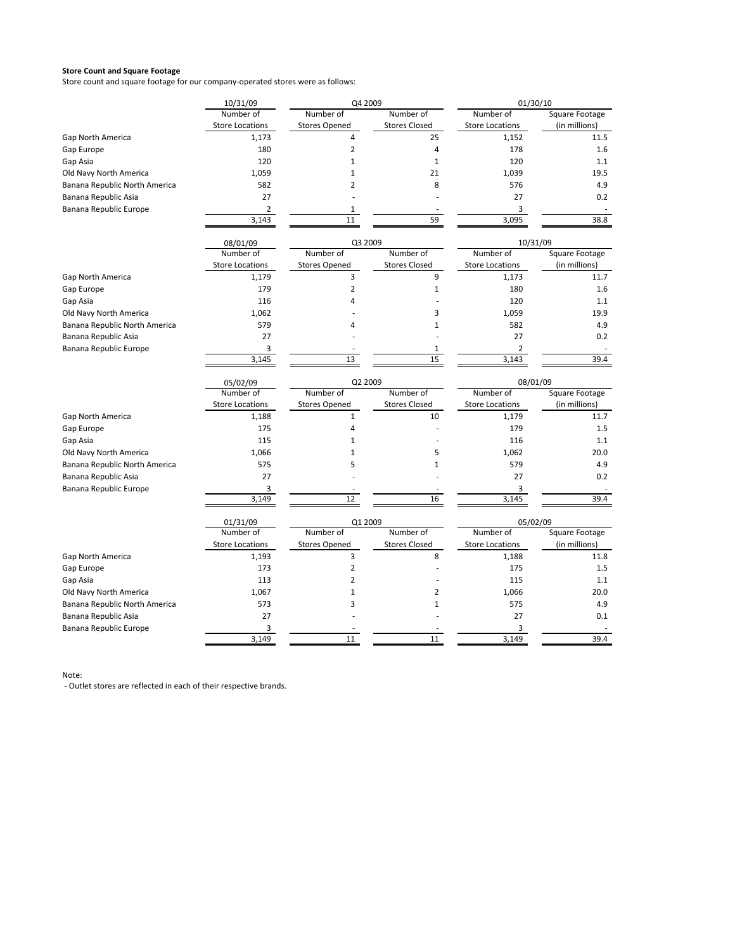Store count and square footage for our company-operated stores were as follows:

| 10/31/09<br>Q4 2009                                                                              | 01/30/10       |  |
|--------------------------------------------------------------------------------------------------|----------------|--|
| Number of<br>Number of<br>Number of<br>Number of                                                 | Square Footage |  |
| <b>Store Locations</b><br><b>Stores Opened</b><br><b>Stores Closed</b><br><b>Store Locations</b> | (in millions)  |  |
| 1,173<br>$\overline{4}$<br>25<br>1,152<br><b>Gap North America</b>                               | 11.5           |  |
| 180<br>$\overline{2}$<br>178<br>Gap Europe<br>4                                                  | 1.6            |  |
| Gap Asia<br>120<br>$\mathbf{1}$<br>$\mathbf{1}$<br>120                                           | 1.1            |  |
| Old Navy North America<br>1,059<br>$\mathbf{1}$<br>21<br>1,039                                   | 19.5           |  |
| $\overline{2}$<br>582<br>8<br>576<br>Banana Republic North America                               | 4.9            |  |
| 27<br>27<br>Banana Republic Asia                                                                 | 0.2            |  |
| Banana Republic Europe<br>2<br>$\mathbf 1$<br>3                                                  |                |  |
| 3,143<br>59<br>3,095<br>11                                                                       | 38.8           |  |
| Q3 2009<br>10/31/09<br>08/01/09                                                                  |                |  |
| Number of<br>Number of<br>Number of<br>Number of                                                 | Square Footage |  |
| <b>Stores Closed</b><br><b>Store Locations</b><br><b>Stores Opened</b><br><b>Store Locations</b> | (in millions)  |  |
| 3<br>9<br><b>Gap North America</b><br>1,179<br>1,173                                             | 11.7           |  |
| 179<br>$\overline{2}$<br>180<br>Gap Europe<br>$1\,$                                              | 1.6            |  |
| Gap Asia<br>116<br>$\overline{4}$<br>120                                                         | 1.1            |  |
| Old Navy North America<br>1,062<br>3<br>1,059                                                    | 19.9           |  |
| 579<br>582<br>Banana Republic North America<br>$\overline{4}$<br>$\mathbf 1$                     | 4.9            |  |
| 27<br>27<br>Banana Republic Asia                                                                 | 0.2            |  |
| Banana Republic Europe<br>3<br>2<br>$\mathbf{1}$                                                 |                |  |
| 15<br>3,145<br>13<br>3,143                                                                       | 39.4           |  |
| 08/01/09<br>05/02/09<br>Q2 2009                                                                  |                |  |
| Number of<br>Number of<br>Number of<br>Number of                                                 | Square Footage |  |
| <b>Stores Closed</b><br><b>Store Locations</b><br><b>Stores Opened</b><br><b>Store Locations</b> | (in millions)  |  |
| <b>Gap North America</b><br>1,188<br>$\mathbf{1}$<br>10<br>1,179                                 | 11.7           |  |
| 175<br>$\pmb{4}$<br>179<br>Gap Europe                                                            | 1.5            |  |
| Gap Asia<br>115<br>$\mathbf{1}$<br>116                                                           | 1.1            |  |
| Old Navy North America<br>1,066<br>$\mathbf 1$<br>5<br>1,062                                     | 20.0           |  |
| 575<br>5<br>579<br>Banana Republic North America<br>$\mathbf{1}$                                 | 4.9            |  |
| 27<br>27<br>Banana Republic Asia                                                                 | 0.2            |  |
| Banana Republic Europe<br>3<br>3<br>16<br>3,149<br>12<br>3,145                                   | 39.4           |  |
|                                                                                                  |                |  |
| Q1 2009<br>05/02/09<br>01/31/09<br>Number of<br>Number of<br>Number of<br>Number of              | Square Footage |  |
| <b>Stores Closed</b><br><b>Store Locations</b><br><b>Stores Opened</b><br><b>Store Locations</b> | (in millions)  |  |
| $\overline{3}$<br><b>Gap North America</b><br>1,193<br>8<br>1,188                                | 11.8           |  |
| $\overline{2}$<br>Gap Europe<br>173<br>175                                                       | 1.5            |  |
| $\overline{2}$<br>Gap Asia<br>113<br>115                                                         |                |  |
|                                                                                                  |                |  |
|                                                                                                  | 1.1            |  |
| Old Navy North America<br>1,067<br>$\mathbf 1$<br>$\overline{\mathbf{c}}$<br>1,066               | 20.0           |  |
| 573<br>3<br>575<br>Banana Republic North America<br>$\mathbf{1}$                                 | 4.9            |  |
| Banana Republic Asia<br>27<br>27<br>Banana Republic Europe<br>3<br>3                             | 0.1            |  |

Note: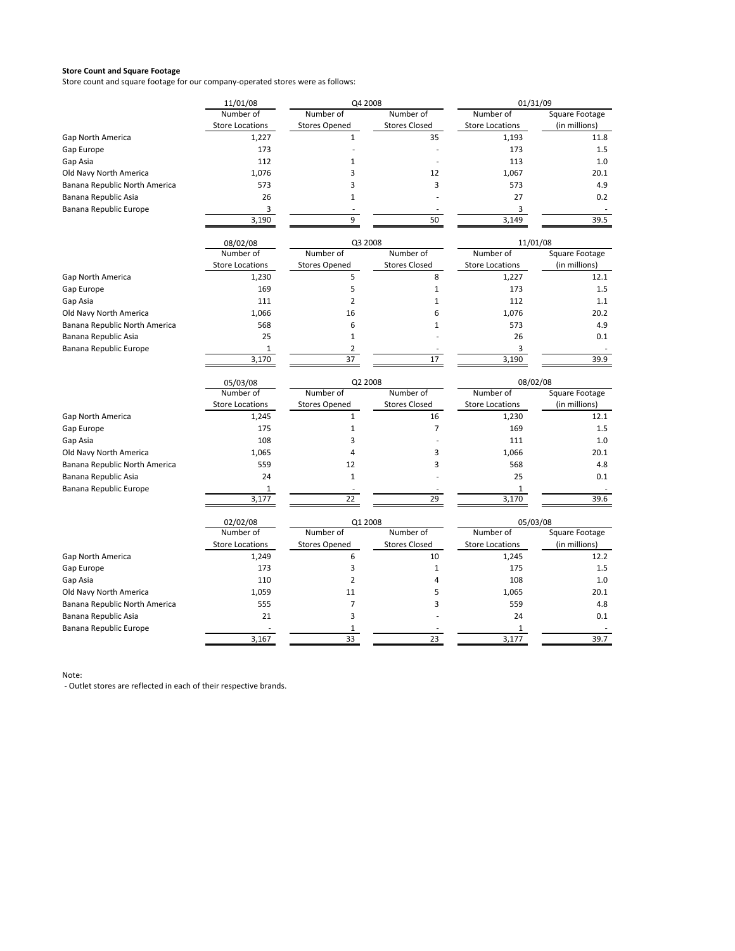Store count and square footage for our company-operated stores were as follows:

|                               | 11/01/08               | Q4 2008              |                      | 01/31/09               |                |
|-------------------------------|------------------------|----------------------|----------------------|------------------------|----------------|
|                               | Number of              | Number of            | Number of            | Number of              | Square Footage |
|                               | <b>Store Locations</b> | <b>Stores Opened</b> | <b>Stores Closed</b> | <b>Store Locations</b> | (in millions)  |
| Gap North America             | 1,227                  | $\mathbf{1}$         | 35                   | 1,193                  | 11.8           |
| Gap Europe                    | 173                    |                      |                      | 173                    | 1.5            |
| Gap Asia                      | 112                    | $\mathbf 1$          |                      | 113                    | 1.0            |
| Old Navy North America        | 1,076                  | 3                    | 12                   | 1,067                  | 20.1           |
| Banana Republic North America | 573                    | 3                    | 3                    | 573                    | 4.9            |
| Banana Republic Asia          | 26                     | $\mathbf{1}$         |                      | 27                     | 0.2            |
| Banana Republic Europe        | 3                      |                      |                      | 3                      |                |
|                               | 3,190                  | 9                    | 50                   | 3,149                  | 39.5           |
|                               | 08/02/08               | Q3 2008              |                      | 11/01/08               |                |
|                               | Number of              | Number of            | Number of            | Number of              | Square Footage |
|                               | <b>Store Locations</b> | <b>Stores Opened</b> | <b>Stores Closed</b> | <b>Store Locations</b> | (in millions)  |
| <b>Gap North America</b>      | 1,230                  | 5                    | 8                    | 1,227                  | 12.1           |
| Gap Europe                    | 169                    | 5                    | $\mathbf{1}$         | 173                    | 1.5            |
| Gap Asia                      | 111                    | $\overline{2}$       | $\mathbf{1}$         | 112                    | 1.1            |
| Old Navy North America        | 1,066                  | 16                   | 6                    | 1,076                  | 20.2           |
| Banana Republic North America | 568                    | 6                    | $\mathbf{1}$         | 573                    | 4.9            |
| Banana Republic Asia          | 25                     | $\mathbf{1}$         |                      | 26                     | 0.1            |
| Banana Republic Europe        | $\mathbf{1}$           | $\overline{2}$       |                      | 3                      |                |
|                               | 3,170                  | 37                   | 17                   | 3,190                  | 39.9           |
|                               | 05/03/08               | Q2 2008              |                      | 08/02/08               |                |
|                               | Number of              | Number of            | Number of            | Number of              | Square Footage |
|                               | <b>Store Locations</b> | <b>Stores Opened</b> | <b>Stores Closed</b> | <b>Store Locations</b> | (in millions)  |
| Gap North America             | 1,245                  | $\mathbf{1}$         | 16                   | 1,230                  | 12.1           |
| Gap Europe                    | 175                    | $\mathbf{1}$         | $\overline{7}$       | 169                    | 1.5            |
| Gap Asia                      | 108                    | 3                    |                      | 111                    | 1.0            |
| Old Navy North America        | 1,065                  | 4                    | 3                    | 1,066                  | 20.1           |
| Banana Republic North America | 559                    | 12                   | 3                    | 568                    | 4.8            |
| Banana Republic Asia          | 24                     | $\mathbf{1}$         |                      | 25                     | 0.1            |
| Banana Republic Europe        | 1                      |                      |                      | $\mathbf{1}$           |                |
|                               | 3,177                  | 22                   | 29                   | 3,170                  | 39.6           |
|                               | 02/02/08               | Q1 2008              |                      | 05/03/08               |                |
|                               | Number of              | Number of            | Number of            | Number of              | Square Footage |
|                               | <b>Store Locations</b> | <b>Stores Opened</b> | <b>Stores Closed</b> | <b>Store Locations</b> | (in millions)  |
| Gap North America             | 1,249                  | 6                    | 10                   | 1,245                  | 12.2           |
| Gap Europe                    | 173                    | 3                    | $\mathbf{1}$         | 175                    | 1.5            |
| Gap Asia                      | 110                    | $\overline{2}$       | 4                    | 108                    | 1.0            |
| Old Navy North America        | 1,059                  | 11                   | 5                    | 1,065                  | 20.1           |
| Banana Republic North America | 555                    | $\overline{7}$       | 3                    | 559                    | 4.8            |
| Banana Republic Asia          | 21                     | 3                    |                      | 24                     | 0.1            |
| Banana Republic Europe        |                        | 1                    |                      | 1                      |                |
|                               | 3.167                  | 33                   | 23                   | 3.177                  | 39.7           |

Note: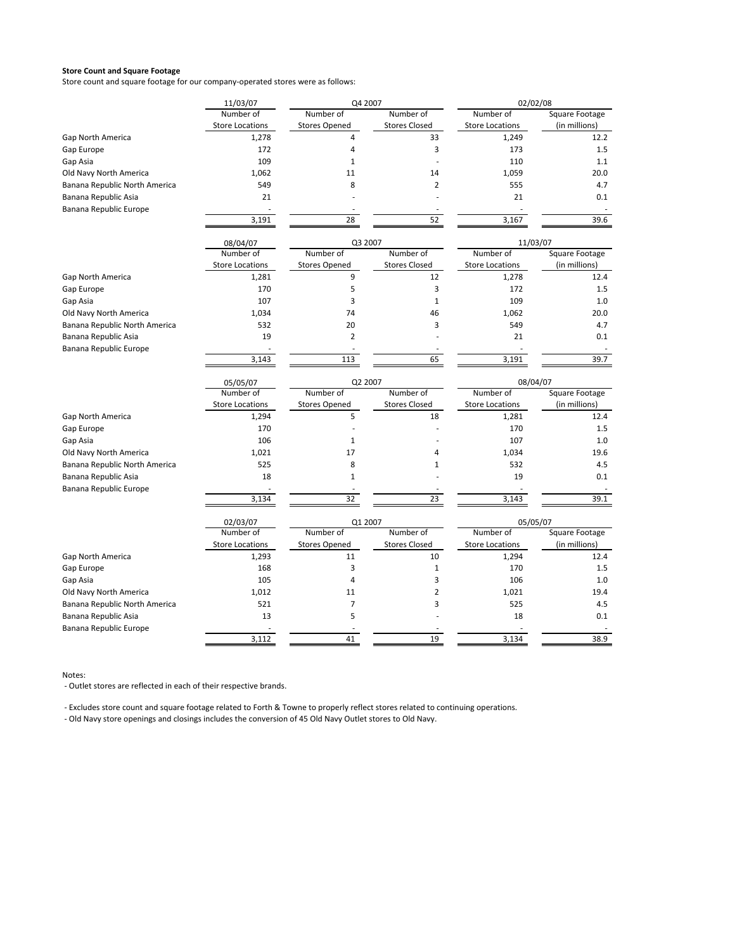Store count and square footage for our company‐operated stores were as follows:

|                                                | 11/03/07               | Q4 2007              |                      | 02/02/08               |                |
|------------------------------------------------|------------------------|----------------------|----------------------|------------------------|----------------|
|                                                | Number of              | Number of            | Number of            | Number of              | Square Footage |
|                                                | <b>Store Locations</b> | <b>Stores Opened</b> | <b>Stores Closed</b> | <b>Store Locations</b> | (in millions)  |
| <b>Gap North America</b>                       | 1,278                  | 4                    | 33                   | 1,249                  | 12.2           |
| Gap Europe                                     | 172                    | 4                    | 3                    | 173                    | 1.5            |
| Gap Asia                                       | 109                    | $\mathbf{1}$         |                      | 110                    | 1.1            |
| Old Navy North America                         | 1,062                  | 11                   | 14                   | 1,059                  | 20.0           |
| Banana Republic North America                  | 549                    | 8                    | $\overline{2}$       | 555                    | 4.7            |
| Banana Republic Asia                           | 21                     |                      |                      | 21                     | 0.1            |
| Banana Republic Europe                         |                        |                      |                      |                        |                |
|                                                | 3,191                  | 28                   | 52                   | 3,167                  | 39.6           |
|                                                | 08/04/07               | Q3 2007              |                      | 11/03/07               |                |
|                                                | Number of              | Number of            | Number of            | Number of              | Square Footage |
|                                                | <b>Store Locations</b> | <b>Stores Opened</b> | <b>Stores Closed</b> | <b>Store Locations</b> | (in millions)  |
| <b>Gap North America</b>                       | 1,281                  | 9                    | 12                   | 1,278                  | 12.4           |
| Gap Europe                                     | 170                    | 5                    | 3                    | 172                    | 1.5            |
| Gap Asia                                       | 107                    | 3                    | $\mathbf{1}$         | 109                    | 1.0            |
| Old Navy North America                         | 1,034                  | 74                   | 46                   | 1,062                  | 20.0           |
| Banana Republic North America                  | 532                    | 20                   | 3                    | 549                    | 4.7            |
| Banana Republic Asia                           | 19                     | $\overline{2}$       |                      | 21                     | 0.1            |
| Banana Republic Europe                         |                        |                      |                      |                        |                |
|                                                | 3,143                  | 113                  | 65                   | 3,191                  | 39.7           |
|                                                | 05/05/07               | Q2 2007              |                      | 08/04/07               |                |
|                                                | Number of              | Number of            | Number of            | Number of              | Square Footage |
|                                                | <b>Store Locations</b> | <b>Stores Opened</b> | <b>Stores Closed</b> | <b>Store Locations</b> | (in millions)  |
| <b>Gap North America</b>                       | 1,294                  | 5                    | 18                   | 1,281                  | 12.4           |
| Gap Europe                                     | 170                    |                      |                      | 170                    | 1.5            |
| Gap Asia                                       | 106                    | $\mathbf{1}$         |                      | 107                    | 1.0            |
| Old Navy North America                         | 1,021                  | 17                   | 4                    | 1,034                  | 19.6           |
| Banana Republic North America                  | 525                    | 8                    | $\mathbf 1$          | 532                    | 4.5            |
| Banana Republic Asia<br>Banana Republic Europe | 18                     | $\mathbf{1}$         |                      | 19                     | 0.1            |
|                                                | 3,134                  | 32                   | 23                   | 3,143                  | 39.1           |
|                                                | 02/03/07               | Q1 2007              |                      | 05/05/07               |                |
|                                                | Number of              | Number of            | Number of            | Number of              | Square Footage |
|                                                | <b>Store Locations</b> | <b>Stores Opened</b> | <b>Stores Closed</b> | <b>Store Locations</b> | (in millions)  |
| <b>Gap North America</b>                       | 1,293                  | 11                   | 10                   | 1,294                  | 12.4           |
| Gap Europe                                     | 168                    | 3                    | $\mathbf{1}$         | 170                    | 1.5            |
| Gap Asia                                       | 105                    | 4                    | 3                    | 106                    | 1.0            |
| Old Navy North America                         | 1,012                  | 11                   | $\overline{2}$       | 1,021                  | 19.4           |
| Banana Republic North America                  | 521                    | $\overline{7}$       | 3                    | 525                    | 4.5            |
| Banana Republic Asia                           | 13                     | 5                    |                      | 18                     | 0.1            |
| Banana Republic Europe                         | 3,112                  | 41                   | 19                   | 3,134                  | 38.9           |
|                                                |                        |                      |                      |                        |                |

Notes:

‐ Outlet stores are reflected in each of their respective brands.

‐ Excludes store count and square footage related to Forth & Towne to properly reflect stores related to continuing operations.

‐ Old Navy store openings and closings includes the conversion of 45 Old Navy Outlet stores to Old Navy.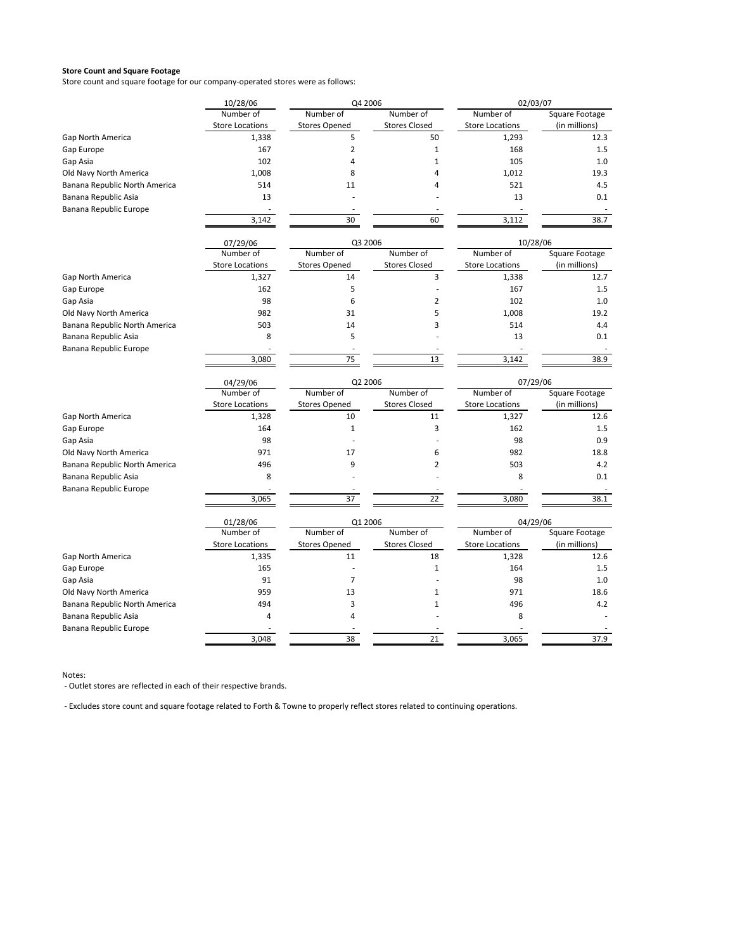Store count and square footage for our company‐operated stores were as follows:

|                                                | 10/28/06               | Q4 2006              |                      | 02/03/07               |                |
|------------------------------------------------|------------------------|----------------------|----------------------|------------------------|----------------|
|                                                | Number of              | Number of            | Number of            | Number of              | Square Footage |
|                                                | <b>Store Locations</b> | <b>Stores Opened</b> | <b>Stores Closed</b> | <b>Store Locations</b> | (in millions)  |
| Gap North America                              | 1,338                  | 5                    | 50                   | 1,293                  | 12.3           |
| Gap Europe                                     | 167                    | $\overline{2}$       | $1\,$                | 168                    | 1.5            |
| Gap Asia                                       | 102                    | 4                    | $\mathbf{1}$         | 105                    | 1.0            |
| Old Navy North America                         | 1,008                  | 8                    | $\overline{4}$       | 1,012                  | 19.3           |
| Banana Republic North America                  | 514                    | 11                   | 4                    | 521                    | 4.5            |
| Banana Republic Asia                           | 13                     |                      |                      | 13                     | 0.1            |
| Banana Republic Europe                         |                        |                      |                      |                        |                |
|                                                | 3,142                  | 30                   | 60                   | 3,112                  | 38.7           |
|                                                | 07/29/06               | Q3 2006              |                      | 10/28/06               |                |
|                                                | Number of              | Number of            | Number of            | Number of              | Square Footage |
|                                                | <b>Store Locations</b> | <b>Stores Opened</b> | <b>Stores Closed</b> | <b>Store Locations</b> | (in millions)  |
| <b>Gap North America</b>                       | 1,327                  | 14                   | 3                    | 1,338                  | 12.7           |
| Gap Europe                                     | 162                    | 5                    |                      | 167                    | 1.5            |
| Gap Asia                                       | 98                     | 6                    | $\overline{2}$       | 102                    | 1.0            |
| Old Navy North America                         | 982                    | 31                   | 5                    | 1,008                  | 19.2           |
| Banana Republic North America                  | 503                    | 14                   | 3                    | 514                    | 4.4            |
| Banana Republic Asia                           | 8                      | 5                    |                      | 13                     | 0.1            |
| Banana Republic Europe                         |                        |                      |                      |                        |                |
|                                                | 3,080                  | 75                   | 13                   | 3,142                  | 38.9           |
|                                                | 04/29/06               | Q2 2006              |                      | 07/29/06               |                |
|                                                | Number of              | Number of            | Number of            | Number of              | Square Footage |
|                                                | <b>Store Locations</b> | <b>Stores Opened</b> | <b>Stores Closed</b> | <b>Store Locations</b> | (in millions)  |
| Gap North America                              | 1,328                  | 10                   | 11                   | 1,327                  | 12.6           |
| Gap Europe                                     | 164                    | $\mathbf{1}$         | 3                    | 162                    | 1.5            |
| Gap Asia                                       | 98                     |                      |                      | 98                     | 0.9            |
| Old Navy North America                         | 971                    | 17                   | 6                    | 982                    | 18.8           |
| Banana Republic North America                  | 496                    | 9                    | $\overline{2}$       | 503                    | 4.2            |
| Banana Republic Asia                           | 8                      |                      |                      | 8                      | 0.1            |
| Banana Republic Europe                         | 3,065                  | 37                   | 22                   | 3,080                  | 38.1           |
|                                                |                        |                      |                      |                        |                |
|                                                | 01/28/06<br>Number of  | Q1 2006<br>Number of | Number of            | 04/29/06<br>Number of  | Square Footage |
|                                                | <b>Store Locations</b> | <b>Stores Opened</b> | <b>Stores Closed</b> | <b>Store Locations</b> | (in millions)  |
| Gap North America                              | 1,335                  | 11                   | 18                   | 1,328                  | 12.6           |
| Gap Europe                                     | 165                    |                      | $\mathbf{1}$         | 164                    | 1.5            |
|                                                | 91                     | $\overline{7}$       |                      | 98                     | 1.0            |
| Gap Asia                                       | 959                    | 13                   | $\mathbf{1}$         | 971                    |                |
| Old Navy North America                         | 494                    | 3                    | $\mathbf{1}$         | 496                    | 18.6<br>4.2    |
| Banana Republic North America                  |                        |                      |                      |                        |                |
| Banana Republic Asia<br>Banana Republic Europe | 4                      | 4                    |                      | 8                      |                |
|                                                | 3.048                  | 38                   | 21                   | 3,065                  | 37.9           |

Notes:

‐ Outlet stores are reflected in each of their respective brands.

‐ Excludes store count and square footage related to Forth & Towne to properly reflect stores related to continuing operations.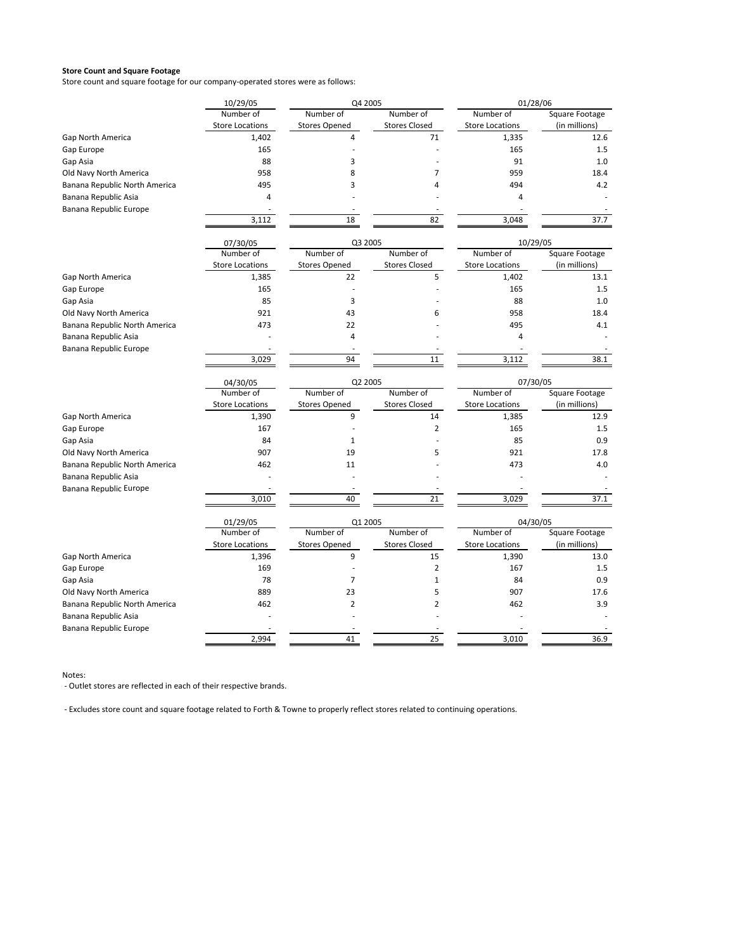Store count and square footage for our company‐operated stores were as follows:

|                               | 10/29/05               | Q4 2005              |                      | 01/28/06               |                |
|-------------------------------|------------------------|----------------------|----------------------|------------------------|----------------|
|                               | Number of              | Number of            | Number of            | Number of              | Square Footage |
|                               | <b>Store Locations</b> | <b>Stores Opened</b> | <b>Stores Closed</b> | <b>Store Locations</b> | (in millions)  |
| Gap North America             | 1,402                  | 4                    | 71                   | 1,335                  | 12.6           |
| Gap Europe                    | 165                    |                      |                      | 165                    | 1.5            |
| Gap Asia                      | 88                     | 3                    |                      | 91                     | 1.0            |
| Old Navy North America        | 958                    | 8                    | 7                    | 959                    | 18.4           |
| Banana Republic North America | 495                    | 3                    | 4                    | 494                    | 4.2            |
| Banana Republic Asia          | 4                      |                      |                      | 4                      |                |
| Banana Republic Europe        |                        |                      |                      |                        |                |
|                               | 3,112                  | 18                   | 82                   | 3,048                  | 37.7           |
|                               | 07/30/05               | Q3 2005              |                      | 10/29/05               |                |
|                               | Number of              | Number of            | Number of            | Number of              | Square Footage |
|                               | <b>Store Locations</b> | <b>Stores Opened</b> | <b>Stores Closed</b> | <b>Store Locations</b> | (in millions)  |
| <b>Gap North America</b>      | 1,385                  | 22                   | 5                    | 1,402                  | 13.1           |
| Gap Europe                    | 165                    |                      |                      | 165                    | 1.5            |
| Gap Asia                      | 85                     | 3                    |                      | 88                     | 1.0            |
| Old Navy North America        | 921                    | 43                   | 6                    | 958                    | 18.4           |
| Banana Republic North America | 473                    | 22                   |                      | 495                    | 4.1            |
| Banana Republic Asia          |                        | $\pmb{4}$            |                      | 4                      |                |
| Banana Republic Europe        |                        |                      |                      |                        |                |
|                               | 3,029                  | 94                   | 11                   | 3,112                  | 38.1           |
|                               | 04/30/05               | Q2 2005              |                      | 07/30/05               |                |
|                               | Number of              | Number of            | Number of            | Number of              | Square Footage |
|                               | <b>Store Locations</b> | <b>Stores Opened</b> | <b>Stores Closed</b> | <b>Store Locations</b> | (in millions)  |
| Gap North America             | 1,390                  | 9                    | 14                   | 1,385                  | 12.9           |
| Gap Europe                    | 167                    |                      | $\overline{2}$       | 165                    | 1.5            |
| Gap Asia                      | 84                     | $1\,$                |                      | 85                     | 0.9            |
| Old Navy North America        | 907                    | 19                   | 5                    | 921                    | 17.8           |
| Banana Republic North America | 462                    | 11                   |                      | 473                    | 4.0            |
| Banana Republic Asia          |                        |                      |                      |                        |                |
| Banana Republic Europe        |                        |                      |                      |                        |                |
|                               | 3,010                  | 40                   | 21                   | 3,029                  | 37.1           |
|                               | 01/29/05               | Q1 2005              |                      | 04/30/05               |                |
|                               | Number of              | Number of            | Number of            | Number of              | Square Footage |
|                               | <b>Store Locations</b> | <b>Stores Opened</b> | <b>Stores Closed</b> | <b>Store Locations</b> | (in millions)  |
| Gap North America             | 1,396                  | 9                    | 15                   | 1,390                  | 13.0           |
| Gap Europe                    | 169                    |                      | $\overline{2}$       | 167                    | 1.5            |
| Gap Asia                      | 78                     | 7                    | $\mathbf{1}$         | 84                     | 0.9            |
| Old Navy North America        | 889                    | 23                   | 5                    | 907                    | 17.6           |
| Banana Republic North America | 462                    | $\overline{2}$       | $\overline{2}$       | 462                    | 3.9            |
| Banana Republic Asia          |                        |                      |                      |                        |                |
| Banana Republic Europe        |                        |                      |                      |                        |                |
|                               | 2.994                  | 41                   | 25                   | 3.010                  | 36.9           |

Notes:

‐ Outlet stores are reflected in each of their respective brands.

‐ Excludes store count and square footage related to Forth & Towne to properly reflect stores related to continuing operations.